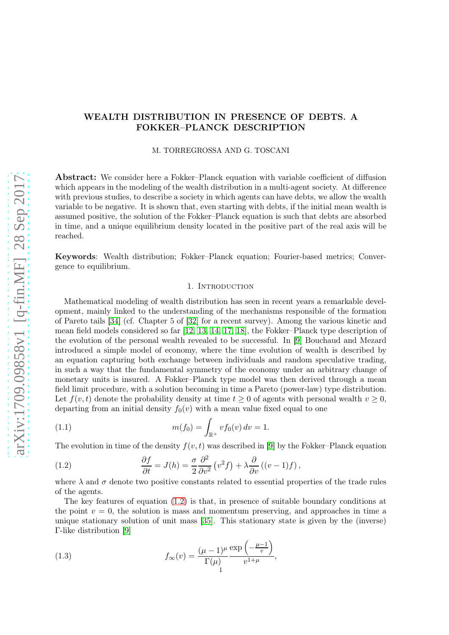# WEALTH DISTRIBUTION IN PRESENCE OF DEBTS. A FOKKER–PLANCK DESCRIPTION

# M. TORREGROSSA AND G. TOSCANI

Abstract: We consider here a Fokker–Planck equation with variable coefficient of diffusion which appears in the modeling of the wealth distribution in a multi-agent society. At difference with previous studies, to describe a society in which agents can have debts, we allow the wealth variable to be negative. It is shown that, even starting with debts, if the initial mean wealth is assumed positive, the solution of the Fokker–Planck equation is such that debts are absorbed in time, and a unique equilibrium density located in the positive part of the real axis will be reached.

Keywords: Wealth distribution; Fokker–Planck equation; Fourier-based metrics; Convergence to equilibrium.

# 1. INTRODUCTION

Mathematical modeling of wealth distribution has seen in recent years a remarkable development, mainly linked to the understanding of the mechanisms responsible of the formation of Pareto tails [\[34\]](#page-22-0) (cf. Chapter 5 of [\[32\]](#page-22-1) for a recent survey). Among the various kinetic and mean field models considered so far [\[12,](#page-22-2) [13,](#page-22-3) [14,](#page-22-4) [17,](#page-22-5) [18\]](#page-22-6), the Fokker–Planck type description of the evolution of the personal wealth revealed to be successful. In [\[9\]](#page-21-0) Bouchaud and Mezard introduced a simple model of economy, where the time evolution of wealth is described by an equation capturing both exchange between individuals and random speculative trading, in such a way that the fundamental symmetry of the economy under an arbitrary change of monetary units is insured. A Fokker–Planck type model was then derived through a mean field limit procedure, with a solution becoming in time a Pareto (power-law) type distribution. Let  $f(v, t)$  denote the probability density at time  $t \geq 0$  of agents with personal wealth  $v \geq 0$ , departing from an initial density  $f_0(v)$  with a mean value fixed equal to one

<span id="page-0-2"></span>(1.1) 
$$
m(f_0) = \int_{\mathbb{R}^+} v f_0(v) dv = 1.
$$

The evolution in time of the density  $f(v, t)$  was described in [\[9\]](#page-21-0) by the Fokker–Planck equation

<span id="page-0-0"></span>(1.2) 
$$
\frac{\partial f}{\partial t} = J(h) = \frac{\sigma}{2} \frac{\partial^2}{\partial v^2} (v^2 f) + \lambda \frac{\partial}{\partial v} ((v - 1) f),
$$

where  $\lambda$  and  $\sigma$  denote two positive constants related to essential properties of the trade rules of the agents.

The key features of equation [\(1.2\)](#page-0-0) is that, in presence of suitable boundary conditions at the point  $v = 0$ , the solution is mass and momentum preserving, and approaches in time a unique stationary solution of unit mass [\[35\]](#page-22-7). This stationary state is given by the (inverse) Γ-like distribution [\[9\]](#page-21-0)

<span id="page-0-1"></span>(1.3) 
$$
f_{\infty}(v) = \frac{(\mu - 1)^{\mu}}{\Gamma(\mu)} \frac{\exp\left(-\frac{\mu - 1}{v}\right)}{v^{1 + \mu}},
$$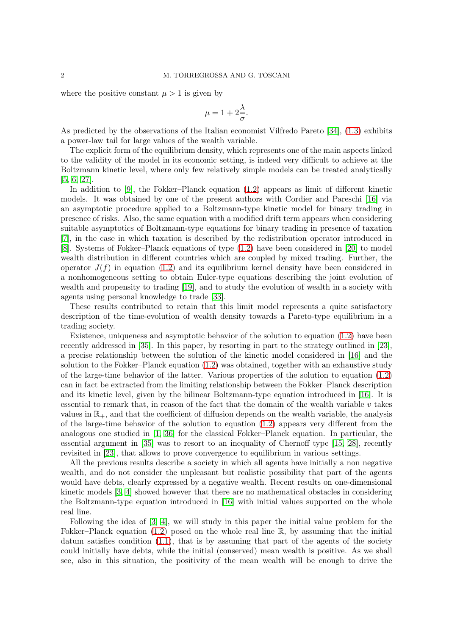where the positive constant  $\mu > 1$  is given by

$$
\mu = 1 + 2\frac{\lambda}{\sigma}.
$$

As predicted by the observations of the Italian economist Vilfredo Pareto [\[34\]](#page-22-0), [\(1.3\)](#page-0-1) exhibits a power-law tail for large values of the wealth variable.

The explicit form of the equilibrium density, which represents one of the main aspects linked to the validity of the model in its economic setting, is indeed very difficult to achieve at the Boltzmann kinetic level, where only few relatively simple models can be treated analytically [\[5,](#page-21-1) [6,](#page-21-2) [27\]](#page-22-8).

In addition to [\[9\]](#page-21-0), the Fokker–Planck equation [\(1.2\)](#page-0-0) appears as limit of different kinetic models. It was obtained by one of the present authors with Cordier and Pareschi [\[16\]](#page-22-9) via an asymptotic procedure applied to a Boltzmann-type kinetic model for binary trading in presence of risks. Also, the same equation with a modified drift term appears when considering suitable asymptotics of Boltzmann-type equations for binary trading in presence of taxation [\[7\]](#page-21-3), in the case in which taxation is described by the redistribution operator introduced in [\[8\]](#page-21-4). Systems of Fokker–Planck equations of type [\(1.2\)](#page-0-0) have been considered in [\[20\]](#page-22-10) to model wealth distribution in different countries which are coupled by mixed trading. Further, the operator  $J(f)$  in equation [\(1.2\)](#page-0-0) and its equilibrium kernel density have been considered in a nonhomogeneous setting to obtain Euler-type equations describing the joint evolution of wealth and propensity to trading [\[19\]](#page-22-11), and to study the evolution of wealth in a society with agents using personal knowledge to trade [\[33\]](#page-22-12).

These results contributed to retain that this limit model represents a quite satisfactory description of the time-evolution of wealth density towards a Pareto-type equilibrium in a trading society.

Existence, uniqueness and asymptotic behavior of the solution to equation [\(1.2\)](#page-0-0) have been recently addressed in [\[35\]](#page-22-7). In this paper, by resorting in part to the strategy outlined in [\[23\]](#page-22-13), a precise relationship between the solution of the kinetic model considered in [\[16\]](#page-22-9) and the solution to the Fokker–Planck equation [\(1.2\)](#page-0-0) was obtained, together with an exhaustive study of the large-time behavior of the latter. Various properties of the solution to equation [\(1.2\)](#page-0-0) can in fact be extracted from the limiting relationship between the Fokker–Planck description and its kinetic level, given by the bilinear Boltzmann-type equation introduced in [\[16\]](#page-22-9). It is essential to remark that, in reason of the fact that the domain of the wealth variable  $v$  takes values in  $\mathbb{R}_+$ , and that the coefficient of diffusion depends on the wealth variable, the analysis of the large-time behavior of the solution to equation [\(1.2\)](#page-0-0) appears very different from the analogous one studied in [\[1,](#page-21-5) [36\]](#page-22-14) for the classical Fokker–Planck equation. In particular, the essential argument in [\[35\]](#page-22-7) was to resort to an inequality of Chernoff type [\[15,](#page-22-15) [28\]](#page-22-16), recently revisited in [\[23\]](#page-22-13), that allows to prove convergence to equilibrium in various settings.

All the previous results describe a society in which all agents have initially a non negative wealth, and do not consider the unpleasant but realistic possibility that part of the agents would have debts, clearly expressed by a negative wealth. Recent results on one-dimensional kinetic models [\[3,](#page-21-6) [4\]](#page-21-7) showed however that there are no mathematical obstacles in considering the Boltzmann-type equation introduced in [\[16\]](#page-22-9) with initial values supported on the whole real line.

Following the idea of [\[3,](#page-21-6) [4\]](#page-21-7), we will study in this paper the initial value problem for the Fokker–Planck equation [\(1.2\)](#page-0-0) posed on the whole real line  $\mathbb{R}$ , by assuming that the initial datum satisfies condition  $(1.1)$ , that is by assuming that part of the agents of the society could initially have debts, while the initial (conserved) mean wealth is positive. As we shall see, also in this situation, the positivity of the mean wealth will be enough to drive the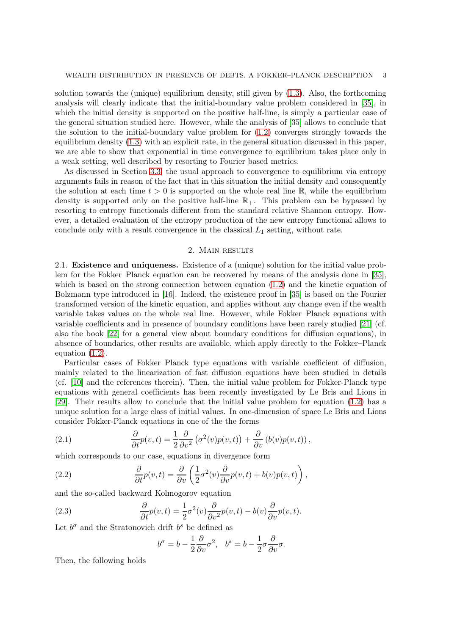solution towards the (unique) equilibrium density, still given by [\(1.3\)](#page-0-1). Also, the forthcoming analysis will clearly indicate that the initial-boundary value problem considered in [\[35\]](#page-22-7), in which the initial density is supported on the positive half-line, is simply a particular case of the general situation studied here. However, while the analysis of [\[35\]](#page-22-7) allows to conclude that the solution to the initial-boundary value problem for [\(1.2\)](#page-0-0) converges strongly towards the equilibrium density [\(1.3\)](#page-0-1) with an explicit rate, in the general situation discussed in this paper, we are able to show that exponential in time convergence to equilibrium takes place only in a weak setting, well described by resorting to Fourier based metrics.

As discussed in Section [3.3,](#page-12-0) the usual approach to convergence to equilibrium via entropy arguments fails in reason of the fact that in this situation the initial density and consequently the solution at each time  $t > 0$  is supported on the whole real line  $\mathbb{R}$ , while the equilibrium density is supported only on the positive half-line  $\mathbb{R}_+$ . This problem can be bypassed by resorting to entropy functionals different from the standard relative Shannon entropy. However, a detailed evaluation of the entropy production of the new entropy functional allows to conclude only with a result convergence in the classical  $L_1$  setting, without rate.

# 2. Main results

<span id="page-2-3"></span>2.1. Existence and uniqueness. Existence of a (unique) solution for the initial value problem for the Fokker–Planck equation can be recovered by means of the analysis done in [\[35\]](#page-22-7), which is based on the strong connection between equation [\(1.2\)](#page-0-0) and the kinetic equation of Bolzmann type introduced in [\[16\]](#page-22-9). Indeed, the existence proof in [\[35\]](#page-22-7) is based on the Fourier transformed version of the kinetic equation, and applies without any change even if the wealth variable takes values on the whole real line. However, while Fokker–Planck equations with variable coefficients and in presence of boundary conditions have been rarely studied [\[21\]](#page-22-17) (cf. also the book [\[22\]](#page-22-18) for a general view about boundary conditions for diffusion equations), in absence of boundaries, other results are available, which apply directly to the Fokker–Planck equation [\(1.2\)](#page-0-0).

Particular cases of Fokker–Planck type equations with variable coefficient of diffusion, mainly related to the linearization of fast diffusion equations have been studied in details (cf. [\[10\]](#page-21-8) and the references therein). Then, the initial value problem for Fokker-Planck type equations with general coefficients has been recently investigated by Le Bris and Lions in [\[29\]](#page-22-19). Their results allow to conclude that the initial value problem for equation [\(1.2\)](#page-0-0) has a unique solution for a large class of initial values. In one-dimension of space Le Bris and Lions consider Fokker-Planck equations in one of the the forms

<span id="page-2-0"></span>(2.1) 
$$
\frac{\partial}{\partial t}p(v,t) = \frac{1}{2}\frac{\partial}{\partial v^2}(\sigma^2(v)p(v,t)) + \frac{\partial}{\partial v}(b(v)p(v,t)),
$$

which corresponds to our case, equations in divergence form

(2.2) 
$$
\frac{\partial}{\partial t}p(v,t) = \frac{\partial}{\partial v}\left(\frac{1}{2}\sigma^2(v)\frac{\partial}{\partial v}p(v,t) + b(v)p(v,t)\right),
$$

and the so-called backward Kolmogorov equation

(2.3) 
$$
\frac{\partial}{\partial t}p(v,t) = \frac{1}{2}\sigma^2(v)\frac{\partial}{\partial v^2}p(v,t) - b(v)\frac{\partial}{\partial v}p(v,t).
$$

Let  $b^{\sigma}$  and the Stratonovich drift  $b^{s}$  be defined as

<span id="page-2-2"></span><span id="page-2-1"></span>
$$
b^{\sigma} = b - \frac{1}{2} \frac{\partial}{\partial v} \sigma^2, \quad b^s = b - \frac{1}{2} \sigma \frac{\partial}{\partial v} \sigma.
$$

Then, the following holds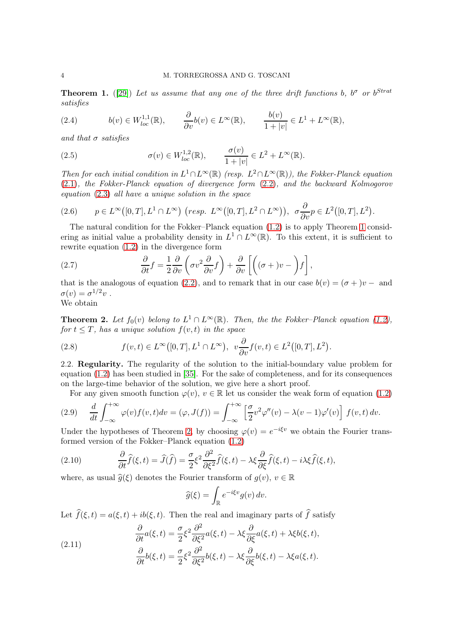<span id="page-3-0"></span>**Theorem 1.** ([\[29\]](#page-22-19)) Let us assume that any one of the three drift functions b,  $b^{\sigma}$  or  $b^{Strat}$ satisfies

(2.4) 
$$
b(v) \in W_{loc}^{1,1}(\mathbb{R}), \qquad \frac{\partial}{\partial v}b(v) \in L^{\infty}(\mathbb{R}), \qquad \frac{b(v)}{1+|v|} \in L^{1} + L^{\infty}(\mathbb{R}),
$$

and that  $\sigma$  satisfies

(2.5) 
$$
\sigma(v) \in W_{loc}^{1,2}(\mathbb{R}), \qquad \frac{\sigma(v)}{1+|v|} \in L^2 + L^{\infty}(\mathbb{R}).
$$

Then for each initial condition in  $L^1 \cap L^{\infty}(\mathbb{R})$  (resp.  $L^2 \cap L^{\infty}(\mathbb{R})$ ), the Fokker-Planck equation [\(2.1\)](#page-2-0), the Fokker-Planck equation of divergence form [\(2.2\)](#page-2-1), and the backward Kolmogorov equation [\(2.3\)](#page-2-2) all have a unique solution in the space

$$
(2.6) \qquad p \in L^{\infty}\big([0,T],L^{1}\cap L^{\infty}\big) \ \left(\text{resp. } L^{\infty}\big([0,T],L^{2}\cap L^{\infty}\big)\right), \ \sigma\frac{\partial}{\partial v}p \in L^{2}\big([0,T],L^{2}\big).
$$

The natural condition for the Fokker–Planck equation [\(1.2\)](#page-0-0) is to apply Theorem [1](#page-3-0) considering as initial value a probability density in  $L^1 \cap L^\infty(\mathbb{R})$ . To this extent, it is sufficient to rewrite equation [\(1.2\)](#page-0-0) in the divergence form

(2.7) 
$$
\frac{\partial}{\partial t}f = \frac{1}{2}\frac{\partial}{\partial v}\left(\sigma v^2 \frac{\partial}{\partial v}f\right) + \frac{\partial}{\partial v}\left[\left((\sigma + v) - \int f\right],
$$

that is the analogous of equation [\(2.2\)](#page-2-1), and to remark that in our case  $b(v) = (\sigma + v) -$  and  $\sigma(v) = \sigma^{1/2}v$ .

We obtain

<span id="page-3-1"></span>**Theorem 2.** Let  $f_0(v)$  belong to  $L^1 \cap L^\infty(\mathbb{R})$ . Then, the the Fokker–Planck equation [\(1.2\)](#page-0-0), for  $t \leq T$ , has a unique solution  $f(v, t)$  in the space

(2.8) 
$$
f(v,t) \in L^{\infty}([0,T],L^{1}\cap L^{\infty}), \ \ v\frac{\partial}{\partial v}f(v,t) \in L^{2}([0,T],L^{2}).
$$

2.2. Regularity. The regularity of the solution to the initial-boundary value problem for equation [\(1.2\)](#page-0-0) has been studied in [\[35\]](#page-22-7). For the sake of completeness, and for its consequences on the large-time behavior of the solution, we give here a short proof.

For any given smooth function  $\varphi(v)$ ,  $v \in \mathbb{R}$  let us consider the weak form of equation [\(1.2\)](#page-0-0)

<span id="page-3-3"></span>(2.9) 
$$
\frac{d}{dt} \int_{-\infty}^{+\infty} \varphi(v) f(v, t) dv = (\varphi, J(f)) = \int_{-\infty}^{+\infty} \left[ \frac{\sigma}{2} v^2 \varphi''(v) - \lambda (v - 1) \varphi'(v) \right] f(v, t) dv.
$$

Under the hypotheses of Theorem [2,](#page-3-1) by choosing  $\varphi(v) = e^{-i\xi v}$  we obtain the Fourier transformed version of the Fokker–Planck equation [\(1.2\)](#page-0-0)

(2.10) 
$$
\frac{\partial}{\partial t}\widehat{f}(\xi,t) = \widehat{J}(\widehat{f}) = \frac{\sigma}{2}\xi^2\frac{\partial^2}{\partial \xi^2}\widehat{f}(\xi,t) - \lambda\xi\frac{\partial}{\partial \xi}\widehat{f}(\xi,t) - i\lambda\xi\widehat{f}(\xi,t),
$$

where, as usual  $\hat{g}(\xi)$  denotes the Fourier transform of  $g(v)$ ,  $v \in \mathbb{R}$ 

<span id="page-3-2"></span>
$$
\widehat{g}(\xi) = \int_{\mathbb{R}} e^{-i\xi v} g(v) \, dv.
$$

Let  $\widehat{f}(\xi, t) = a(\xi, t) + ib(\xi, t)$ . Then the real and imaginary parts of  $\widehat{f}$  satisfy

(2.11) 
$$
\begin{aligned}\n\frac{\partial}{\partial t}a(\xi, t) &= \frac{\sigma}{2}\xi^2 \frac{\partial^2}{\partial \xi^2}a(\xi, t) - \lambda \xi \frac{\partial}{\partial \xi}a(\xi, t) + \lambda \xi b(\xi, t), \\
\frac{\partial}{\partial t}b(\xi, t) &= \frac{\sigma}{2}\xi^2 \frac{\partial^2}{\partial \xi^2}b(\xi, t) - \lambda \xi \frac{\partial}{\partial \xi}b(\xi, t) - \lambda \xi a(\xi, t).\n\end{aligned}
$$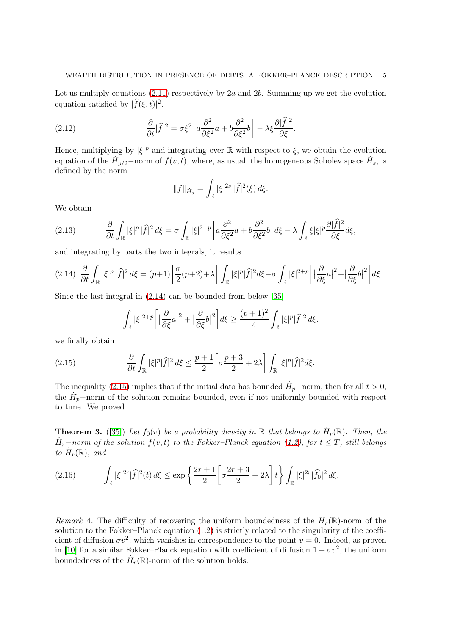Let us multiply equations  $(2.11)$  respectively by 2a and 2b. Summing up we get the evolution equation satisfied by  $|\widehat{f}(\xi, t)|^2$ .

(2.12) 
$$
\frac{\partial}{\partial t}|\widehat{f}|^2 = \sigma \xi^2 \left[ a \frac{\partial^2}{\partial \xi^2} a + b \frac{\partial^2}{\partial \xi^2} b \right] - \lambda \xi \frac{\partial |\widehat{f}|^2}{\partial \xi}.
$$

Hence, multiplying by  $|\xi|^p$  and integrating over  $\mathbb R$  with respect to  $\xi$ , we obtain the evolution equation of the  $\dot{H}_{p/2}$ -norm of  $f(v,t)$ , where, as usual, the homogeneous Sobolev space  $\dot{H}_s$ , is defined by the norm

$$
||f||_{\dot{H}_s} = \int_{\mathbb{R}} |\xi|^{2s} |\hat{f}|^2(\xi) d\xi.
$$

We obtain

(2.13) 
$$
\frac{\partial}{\partial t} \int_{\mathbb{R}} |\xi|^p |\hat{f}|^2 d\xi = \sigma \int_{\mathbb{R}} |\xi|^{2+p} \left[ a \frac{\partial^2}{\partial \xi^2} a + b \frac{\partial^2}{\partial \xi^2} b \right] d\xi - \lambda \int_{\mathbb{R}} \xi |\xi|^p \frac{\partial |\hat{f}|^2}{\partial \xi} d\xi,
$$

and integrating by parts the two integrals, it results

<span id="page-4-0"></span>
$$
(2.14) \frac{\partial}{\partial t} \int_{\mathbb{R}} |\xi|^p |\widehat{f}|^2 d\xi = (p+1) \left[ \frac{\sigma}{2} (p+2) + \lambda \right] \int_{\mathbb{R}} |\xi|^p |\widehat{f}|^2 d\xi - \sigma \int_{\mathbb{R}} |\xi|^{2+p} \left[ \left| \frac{\partial}{\partial \xi} a \right|^2 + \left| \frac{\partial}{\partial \xi} b \right|^2 \right] d\xi.
$$

Since the last integral in [\(2.14\)](#page-4-0) can be bounded from below [\[35\]](#page-22-7)

<span id="page-4-1"></span>
$$
\int_{\mathbb{R}} |\xi|^{2+p} \left[ \left| \frac{\partial}{\partial \xi} a \right|^2 + \left| \frac{\partial}{\partial \xi} b \right|^2 \right] d\xi \ge \frac{(p+1)^2}{4} \int_{\mathbb{R}} |\xi|^p |\hat{f}|^2 d\xi.
$$

we finally obtain

(2.15) 
$$
\frac{\partial}{\partial t}\int_{\mathbb{R}}|\xi|^p|\widehat{f}|^2 d\xi \le \frac{p+1}{2}\bigg[\sigma\frac{p+3}{2}+2\lambda\bigg]\int_{\mathbb{R}}|\xi|^p|\widehat{f}|^2 d\xi.
$$

The inequality [\(2.15\)](#page-4-1) implies that if the initial data has bounded  $\dot{H}_p$ -norm, then for all  $t > 0$ , the  $\dot{H}_p$ -norm of the solution remains bounded, even if not uniformly bounded with respect to time. We proved

<span id="page-4-2"></span>**Theorem 3.** ([\[35\]](#page-22-7)) Let  $f_0(v)$  be a probability density in  $\mathbb R$  that belongs to  $\dot{H}_r(\mathbb R)$ . Then, the  $\dot{H}_r$ -norm of the solution  $f(v,t)$  to the Fokker-Planck equation [\(1.2\)](#page-0-0), for  $t \leq T$ , still belongs to  $\dot{H}_r(\mathbb{R})$ , and

<span id="page-4-3"></span>(2.16) 
$$
\int_{\mathbb{R}} |\xi|^{2r} |\hat{f}|^{2}(t) d\xi \le \exp \left\{ \frac{2r+1}{2} \left[ \sigma \frac{2r+3}{2} + 2\lambda \right] t \right\} \int_{\mathbb{R}} |\xi|^{2r} |\hat{f}_{0}|^{2} d\xi.
$$

Remark 4. The difficulty of recovering the uniform boundedness of the  $\dot{H}_r(\mathbb{R})$ -norm of the solution to the Fokker–Planck equation [\(1.2\)](#page-0-0) is strictly related to the singularity of the coefficient of diffusion  $\sigma v^2$ , which vanishes in correspondence to the point  $v = 0$ . Indeed, as proven in [\[10\]](#page-21-8) for a similar Fokker–Planck equation with coefficient of diffusion  $1 + \sigma v^2$ , the uniform boundedness of the  $\dot{H}_r(\mathbb{R})$ -norm of the solution holds.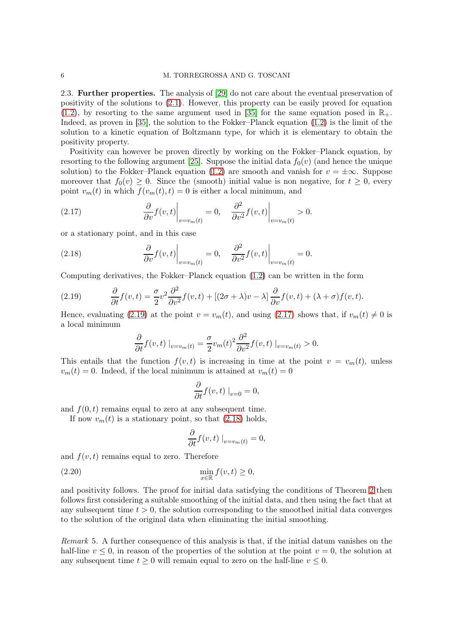#### 6 M. TORREGROSSA AND G. TOSCANI

2.3. Further properties. The analysis of [\[29\]](#page-22-19) do not care about the eventual preservation of positivity of the solutions to [\(2.1\)](#page-2-0). However, this property can be easily proved for equation [\(1.2\)](#page-0-0), by resorting to the same argument used in [\[35\]](#page-22-7) for the same equation posed in  $\mathbb{R}_+$ . Indeed, as proven in [\[35\]](#page-22-7), the solution to the Fokker–Planck equation [\(1.2\)](#page-0-0) is the limit of the solution to a kinetic equation of Boltzmann type, for which it is elementary to obtain the positivity property.

Positivity can however be proven directly by working on the Fokker–Planck equation, by resorting to the following argument [\[25\]](#page-22-20). Suppose the initial data  $f_0(v)$  (and hence the unique solution) to the Fokker–Planck equation [\(1.2\)](#page-0-0) are smooth and vanish for  $v = \pm \infty$ . Suppose moreover that  $f_0(v) \geq 0$ . Since the (smooth) initial value is non negative, for  $t \geq 0$ , every point  $v_m(t)$  in which  $f(v_m(t), t) = 0$  is either a local minimum, and

<span id="page-5-1"></span>(2.17) 
$$
\left. \frac{\partial}{\partial v} f(v, t) \right|_{v=v_m(t)} = 0, \quad \left. \frac{\partial^2}{\partial v^2} f(v, t) \right|_{v=v_m(t)} > 0.
$$

or a stationary point, and in this case

<span id="page-5-2"></span>(2.18) 
$$
\frac{\partial}{\partial v} f(v, t) \Big|_{v=v_m(t)} = 0, \quad \frac{\partial^2}{\partial v^2} f(v, t) \Big|_{v=v_m(t)} = 0.
$$

Computing derivatives, the Fokker–Planck equation [\(1.2\)](#page-0-0) can be written in the form

(2.19) 
$$
\frac{\partial}{\partial t}f(v,t) = \frac{\sigma}{2}v^2\frac{\partial^2}{\partial v^2}f(v,t) + [(2\sigma + \lambda)v - \lambda]\frac{\partial}{\partial v}f(v,t) + (\lambda + \sigma)f(v,t).
$$

Hence, evaluating [\(2.19\)](#page-5-0) at the point  $v = v_m(t)$ , and using [\(2.17\)](#page-5-1) shows that, if  $v_m(t) \neq 0$  is a local minimum

<span id="page-5-0"></span>
$$
\frac{\partial}{\partial t} f(v, t) \big|_{v=v_m(t)} = \frac{\sigma}{2} v_m(t)^2 \frac{\partial^2}{\partial v^2} f(v, t) \big|_{v=v_m(t)} > 0.
$$

This entails that the function  $f(v, t)$  is increasing in time at the point  $v = v_m(t)$ , unless  $v_m(t) = 0$ . Indeed, if the local minimum is attained at  $v_m(t) = 0$ 

$$
\frac{\partial}{\partial t}f(v,t)\big|_{v=0}=0,
$$

and  $f(0, t)$  remains equal to zero at any subsequent time.

If now  $v_m(t)$  is a stationary point, so that  $(2.18)$  holds,

$$
\frac{\partial}{\partial t} f(v, t) \big|_{v = v_m(t)} = 0,
$$

and  $f(v, t)$  remains equal to zero. Therefore

$$
\min_{x \in \mathbb{R}} f(v, t) \ge 0,
$$

and positivity follows. The proof for initial data satisfying the conditions of Theorem [2](#page-3-1) then follows first considering a suitable smoothing of the initial data, and then using the fact that at any subsequent time  $t > 0$ , the solution corresponding to the smoothed initial data converges to the solution of the original data when eliminating the initial smoothing.

<span id="page-5-3"></span>Remark 5. A further consequence of this analysis is that, if the initial datum vanishes on the half-line  $v \leq 0$ , in reason of the properties of the solution at the point  $v = 0$ , the solution at any subsequent time  $t \geq 0$  will remain equal to zero on the half-line  $v \leq 0$ .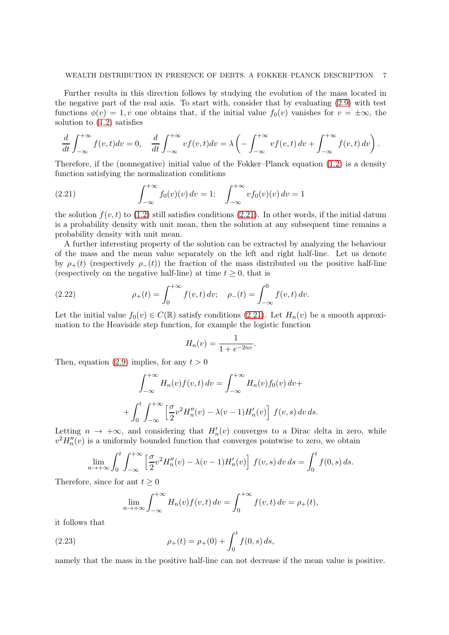Further results in this direction follows by studying the evolution of the mass located in the negative part of the real axis. To start with, consider that by evaluating [\(2.9\)](#page-3-3) with test functions  $\phi(v) = 1, v$  one obtains that, if the initial value  $f_0(v)$  vanishes for  $v = \pm \infty$ , the solution to [\(1.2\)](#page-0-0) satisfies

$$
\frac{d}{dt} \int_{-\infty}^{+\infty} f(v,t) dv = 0, \quad \frac{d}{dt} \int_{-\infty}^{+\infty} vf(v,t) dv = \lambda \left( - \int_{-\infty}^{+\infty} vf(v,t) dv + \int_{-\infty}^{+\infty} f(v,t) dv \right).
$$

Therefore, if the (nonnegative) initial value of the Fokker–Planck equation [\(1.2\)](#page-0-0) is a density function satisfying the normalization conditions

<span id="page-6-0"></span>(2.21) 
$$
\int_{-\infty}^{+\infty} f_0(v)(v) dv = 1; \quad \int_{-\infty}^{+\infty} vf_0(v)(v) dv = 1
$$

the solution  $f(v, t)$  to [\(1.2\)](#page-0-0) still satisfies conditions [\(2.21\)](#page-6-0). In other words, if the initial datum is a probability density with unit mean, then the solution at any subsequent time remains a probability density with unit mean.

A further interesting property of the solution can be extracted by analyzing the behaviour of the mass and the mean value separately on the left and right half-line. Let us denote by  $\rho_+(t)$  (respectively  $\rho_-(t)$ ) the fraction of the mass distributed on the positive half-line (respectively on the negative half-line) at time  $t \geq 0$ , that is

(2.22) 
$$
\rho_+(t) = \int_0^{+\infty} f(v, t) dv; \quad \rho_-(t) = \int_{-\infty}^0 f(v, t) dv.
$$

Let the initial value  $f_0(v) \in C(\mathbb{R})$  satisfy conditions [\(2.21\)](#page-6-0). Let  $H_n(v)$  be a smooth approximation to the Heaviside step function, for example the logistic function

$$
H_n(v) = \frac{1}{1 + e^{-2nv}}.
$$

Then, equation [\(2.9\)](#page-3-3) implies, for any  $t > 0$ 

$$
\int_{-\infty}^{+\infty} H_n(v) f(v, t) dv = \int_{-\infty}^{+\infty} H_n(v) f_0(v) dv +
$$

$$
+ \int_0^t \int_{-\infty}^{+\infty} \left[ \frac{\sigma}{2} v^2 H_n''(v) - \lambda (v - 1) H_n'(v) \right] f(v, s) dv ds.
$$

Letting  $n \to +\infty$ , and considering that  $H'_n(v)$  converges to a Dirac delta in zero, while  $v^2 H_n''(v)$  is a uniformly bounded function that converges pointwise to zero, we obtain

$$
\lim_{n \to +\infty} \int_0^t \int_{-\infty}^{+\infty} \left[ \frac{\sigma}{2} v^2 H_n''(v) - \lambda (v-1) H_n'(v) \right] f(v,s) dv ds = \int_0^t f(0,s) ds.
$$

Therefore, since for ant  $t \geq 0$ 

<span id="page-6-1"></span>
$$
\lim_{n \to +\infty} \int_{-\infty}^{+\infty} H_n(v) f(v, t) dv = \int_0^{+\infty} f(v, t) dv = \rho_+(t),
$$

it follows that

(2.23) 
$$
\rho_+(t) = \rho_+(0) + \int_0^t f(0, s) ds,
$$

namely that the mass in the positive half-line can not decrease if the mean value is positive.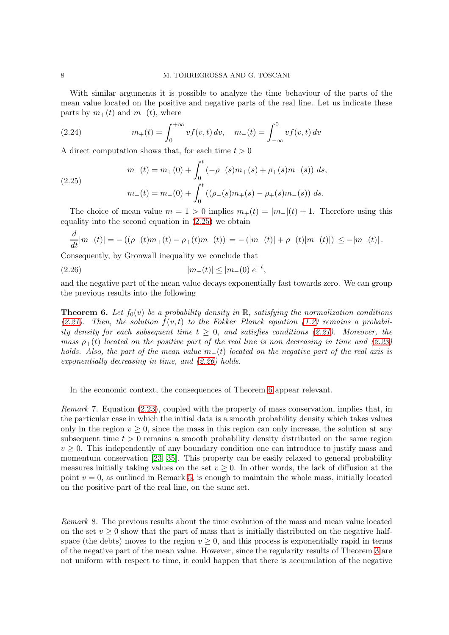With similar arguments it is possible to analyze the time behaviour of the parts of the mean value located on the positive and negative parts of the real line. Let us indicate these parts by  $m_{+}(t)$  and  $m_{-}(t)$ , where

(2.24) 
$$
m_+(t) = \int_0^{+\infty} v f(v, t) dv, \quad m_-(t) = \int_{-\infty}^0 v f(v, t) dv
$$

A direct computation shows that, for each time  $t > 0$ 

<span id="page-7-0"></span>(2.25) 
$$
m_{+}(t) = m_{+}(0) + \int_{0}^{t} (-\rho_{-}(s)m_{+}(s) + \rho_{+}(s)m_{-}(s)) ds,
$$

$$
m_{-}(t) = m_{-}(0) + \int_{0}^{t} ((\rho_{-}(s)m_{+}(s) - \rho_{+}(s)m_{-}(s)) ds.
$$

The choice of mean value  $m = 1 > 0$  implies  $m_{+}(t) = |m_{-}(t) + 1|$ . Therefore using this equality into the second equation in [\(2.25\)](#page-7-0) we obtain

<span id="page-7-1"></span>
$$
\frac{d}{dt}|m_{-}(t)| = -((\rho_{-}(t)m_{+}(t) - \rho_{+}(t)m_{-}(t)) = -(|m_{-}(t)| + \rho_{-}(t)|m_{-}(t)|) \leq -|m_{-}(t)|.
$$

Consequently, by Gronwall inequality we conclude that

$$
(2.26) \t\t\t |m_{-}(t)| \le |m_{-}(0)|e^{-t},
$$

and the negative part of the mean value decays exponentially fast towards zero. We can group the previous results into the following

<span id="page-7-2"></span>**Theorem 6.** Let  $f_0(v)$  be a probability density in R, satisfying the normalization conditions [\(2.21\)](#page-6-0). Then, the solution  $f(v, t)$  to the Fokker–Planck equation [\(1.2\)](#page-0-0) remains a probability density for each subsequent time  $t \geq 0$ , and satisfies conditions [\(2.21\)](#page-6-0). Moreover, the mass  $\rho_{+}(t)$  located on the positive part of the real line is non decreasing in time and [\(2.23\)](#page-6-1) holds. Also, the part of the mean value  $m_-(t)$  located on the negative part of the real axis is exponentially decreasing in time, and [\(2.26\)](#page-7-1) holds.

In the economic context, the consequences of Theorem [6](#page-7-2) appear relevant.

Remark 7. Equation [\(2.23\)](#page-6-1), coupled with the property of mass conservation, implies that, in the particular case in which the initial data is a smooth probability density which takes values only in the region  $v \geq 0$ , since the mass in this region can only increase, the solution at any subsequent time  $t > 0$  remains a smooth probability density distributed on the same region  $v > 0$ . This independently of any boundary condition one can introduce to justify mass and momentum conservation [\[23,](#page-22-13) [35\]](#page-22-7). This property can be easily relaxed to general probability measures initially taking values on the set  $v > 0$ . In other words, the lack of diffusion at the point  $v = 0$ , as outlined in Remark [5,](#page-5-3) is enough to maintain the whole mass, initially located on the positive part of the real line, on the same set.

Remark 8. The previous results about the time evolution of the mass and mean value located on the set  $v > 0$  show that the part of mass that is initially distributed on the negative halfspace (the debts) moves to the region  $v > 0$ , and this process is exponentially rapid in terms of the negative part of the mean value. However, since the regularity results of Theorem [3](#page-4-2) are not uniform with respect to time, it could happen that there is accumulation of the negative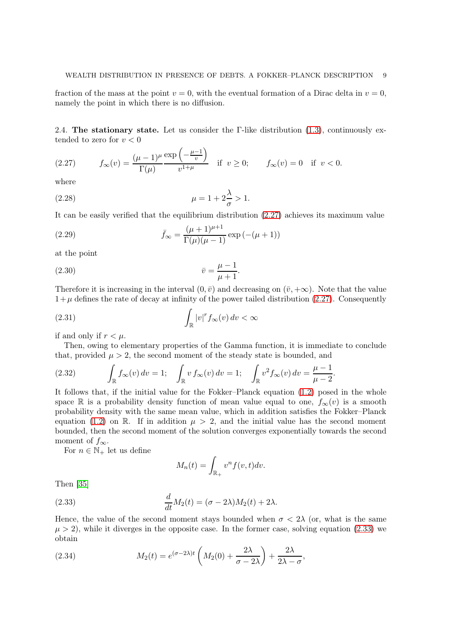fraction of the mass at the point  $v = 0$ , with the eventual formation of a Dirac delta in  $v = 0$ , namely the point in which there is no diffusion.

2.4. The stationary state. Let us consider the  $\Gamma$ -like distribution [\(1.3\)](#page-0-1), continuously extended to zero for  $v < 0$ 

<span id="page-8-0"></span>(2.27) 
$$
f_{\infty}(v) = \frac{(\mu - 1)^{\mu}}{\Gamma(\mu)} \frac{\exp\left(-\frac{\mu - 1}{v}\right)}{v^{1 + \mu}} \text{ if } v \ge 0; \qquad f_{\infty}(v) = 0 \text{ if } v < 0.
$$

where

<span id="page-8-3"></span>(2.28) 
$$
\mu = 1 + 2\frac{\lambda}{\sigma} > 1.
$$

It can be easily verified that the equilibrium distribution [\(2.27\)](#page-8-0) achieves its maximum value

(2.29) 
$$
\bar{f}_{\infty} = \frac{(\mu + 1)^{\mu + 1}}{\Gamma(\mu)(\mu - 1)} \exp(-(\mu + 1))
$$

at the point

$$
\bar{v} = \frac{\mu - 1}{\mu + 1}.
$$

Therefore it is increasing in the interval  $(0, \bar{v})$  and decreasing on  $(\bar{v}, +\infty)$ . Note that the value  $1+\mu$  defines the rate of decay at infinity of the power tailed distribution [\(2.27\)](#page-8-0). Consequently

(2.31) 
$$
\int_{\mathbb{R}} |v|^r f_{\infty}(v) dv < \infty
$$

if and only if  $r < \mu$ .

Then, owing to elementary properties of the Gamma function, it is immediate to conclude that, provided  $\mu > 2$ , the second moment of the steady state is bounded, and

<span id="page-8-2"></span>(2.32) 
$$
\int_{\mathbb{R}} f_{\infty}(v) dv = 1; \quad \int_{\mathbb{R}} v f_{\infty}(v) dv = 1; \quad \int_{\mathbb{R}} v^{2} f_{\infty}(v) dv = \frac{\mu - 1}{\mu - 2}.
$$

It follows that, if the initial value for the Fokker–Planck equation [\(1.2\)](#page-0-0) posed in the whole space R is a probability density function of mean value equal to one,  $f_{\infty}(v)$  is a smooth probability density with the same mean value, which in addition satisfies the Fokker–Planck equation [\(1.2\)](#page-0-0) on R. If in addition  $\mu > 2$ , and the initial value has the second moment bounded, then the second moment of the solution converges exponentially towards the second moment of  $f_{\infty}$ .

For  $n\in\mathbb{N}_+$  let us define

<span id="page-8-1"></span>
$$
M_n(t) = \int_{\mathbb{R}_+} v^n f(v, t) dv.
$$

Then [\[35\]](#page-22-7)

(2.33) 
$$
\frac{d}{dt}M_2(t) = (\sigma - 2\lambda)M_2(t) + 2\lambda.
$$

Hence, the value of the second moment stays bounded when  $\sigma < 2\lambda$  (or, what is the same  $\mu > 2$ , while it diverges in the opposite case. In the former case, solving equation [\(2.33\)](#page-8-1) we obtain

(2.34) 
$$
M_2(t) = e^{(\sigma - 2\lambda)t} \left( M_2(0) + \frac{2\lambda}{\sigma - 2\lambda} \right) + \frac{2\lambda}{2\lambda - \sigma},
$$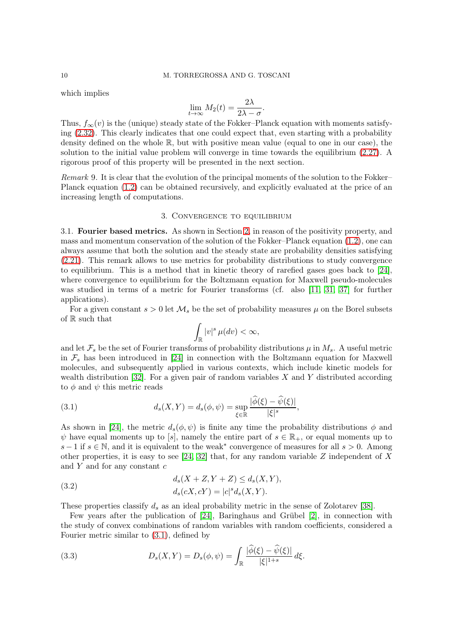which implies

$$
\lim_{t \to \infty} M_2(t) = \frac{2\lambda}{2\lambda - \sigma}.
$$

Thus,  $f_{\infty}(v)$  is the (unique) steady state of the Fokker–Planck equation with moments satisfying [\(2.32\)](#page-8-2). This clearly indicates that one could expect that, even starting with a probability density defined on the whole R, but with positive mean value (equal to one in our case), the solution to the initial value problem will converge in time towards the equilibrium [\(2.27\)](#page-8-0). A rigorous proof of this property will be presented in the next section.

Remark 9. It is clear that the evolution of the principal moments of the solution to the Fokker– Planck equation [\(1.2\)](#page-0-0) can be obtained recursively, and explicitly evaluated at the price of an increasing length of computations.

# 3. Convergence to equilibrium

3.1. Fourier based metrics. As shown in Section [2,](#page-2-3) in reason of the positivity property, and mass and momentum conservation of the solution of the Fokker–Planck equation [\(1.2\)](#page-0-0), one can always assume that both the solution and the steady state are probability densities satisfying [\(2.21\)](#page-6-0). This remark allows to use metrics for probability distributions to study convergence to equilibrium. This is a method that in kinetic theory of rarefied gases goes back to [\[24\]](#page-22-21), where convergence to equilibrium for the Boltzmann equation for Maxwell pseudo-molecules was studied in terms of a metric for Fourier transforms (cf. also [\[11,](#page-22-22) [31,](#page-22-23) [37\]](#page-23-0) for further applications).

For a given constant  $s > 0$  let  $\mathcal{M}_s$  be the set of probability measures  $\mu$  on the Borel subsets of R such that

<span id="page-9-0"></span>
$$
\int_{\mathbb{R}}|v|^{s}\,\mu(dv)<\infty,
$$

and let  $\mathcal{F}_s$  be the set of Fourier transforms of probability distributions  $\mu$  in  $M_s$ . A useful metric in  $\mathcal{F}_s$  has been introduced in [\[24\]](#page-22-21) in connection with the Boltzmann equation for Maxwell molecules, and subsequently applied in various contexts, which include kinetic models for wealth distribution [\[32\]](#page-22-1). For a given pair of random variables  $X$  and  $Y$  distributed according to  $\phi$  and  $\psi$  this metric reads

(3.1) 
$$
d_s(X,Y) = d_s(\phi,\psi) = \sup_{\xi \in \mathbb{R}} \frac{|\widehat{\phi}(\xi) - \widehat{\psi}(\xi)|}{|\xi|^s},
$$

As shown in [\[24\]](#page-22-21), the metric  $d_s(\phi, \psi)$  is finite any time the probability distributions  $\phi$  and  $\psi$  have equal moments up to [s], namely the entire part of  $s \in \mathbb{R}_{+}$ , or equal moments up to  $s-1$  if  $s \in \mathbb{N}$ , and it is equivalent to the weak<sup>\*</sup> convergence of measures for all  $s > 0$ . Among other properties, it is easy to see [\[24,](#page-22-21) [32\]](#page-22-1) that, for any random variable Z independent of X and  $Y$  and for any constant  $c$ 

(3.2) 
$$
d_s(X + Z, Y + Z) \le d_s(X, Y), \nd_s(cX, cY) = |c|^s d_s(X, Y).
$$

These properties classify  $d_s$  as an ideal probability metric in the sense of Zolotarev [\[38\]](#page-23-1).

Few years after the publication of [\[24\]](#page-22-21), Baringhaus and Grübel [\[2\]](#page-21-9), in connection with the study of convex combinations of random variables with random coefficients, considered a Fourier metric similar to [\(3.1\)](#page-9-0), defined by

(3.3) 
$$
D_s(X,Y) = D_s(\phi,\psi) = \int_{\mathbb{R}} \frac{|\widehat{\phi}(\xi) - \widehat{\psi}(\xi)|}{|\xi|^{1+s}} d\xi.
$$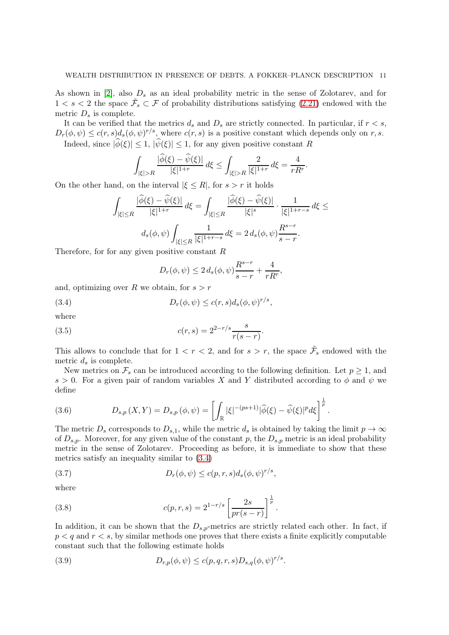As shown in [\[2\]](#page-21-9), also  $D_s$  as an ideal probability metric in the sense of Zolotarev, and for  $1 < s < 2$  the space  $\tilde{\mathcal{F}}_s \subset \mathcal{F}$  of probability distributions satisfying [\(2.21\)](#page-6-0) endowed with the metric  $D_s$  is complete.

It can be verified that the metrics  $d_s$  and  $D_s$  are strictly connected. In particular, if  $r < s$ ,  $D_r(\phi, \psi) \leq c(r, s) d_s(\phi, \psi)^{r/s}$ , where  $c(r, s)$  is a positive constant which depends only on r, s. Indeed, since  $|\widehat{\phi}(\xi)| \leq 1$ ,  $|\widehat{\psi}(\xi)| \leq 1$ , for any given positive constant R

$$
\int_{|\xi|>R}\frac{|\widehat{\phi}(\xi)-\widehat{\psi}(\xi)|}{|\xi|^{1+r}}\,d\xi\leq \int_{|\xi|>R}\frac{2}{|\xi|^{1+r}}\,d\xi=\frac{4}{rR^r}.
$$

On the other hand, on the interval  $|\xi \leq R|$ , for  $s > r$  it holds

$$
\int_{|\xi| \le R} \frac{|\widehat{\phi}(\xi) - \widehat{\psi}(\xi)|}{|\xi|^{1+r}} d\xi = \int_{|\xi| \le R} \frac{|\widehat{\phi}(\xi) - \widehat{\psi}(\xi)|}{|\xi|^s} \cdot \frac{1}{|\xi|^{1+r-s}} d\xi \le
$$
  

$$
d_s(\phi, \psi) \int_{|\xi| \le R} \frac{1}{|\xi|^{1+r-s}} d\xi = 2 d_s(\phi, \psi) \frac{R^{s-r}}{s-r}.
$$

Therefore, for for any given positive constant  $R$ 

<span id="page-10-0"></span>
$$
D_r(\phi, \psi) \le 2 d_s(\phi, \psi) \frac{R^{s-r}}{s-r} + \frac{4}{rR^r},
$$

and, optimizing over R we obtain, for  $s > r$ 

(3.4) 
$$
D_r(\phi, \psi) \leq c(r, s)d_s(\phi, \psi)^{r/s},
$$

where

(3.5) 
$$
c(r,s) = 2^{2-r/s} \frac{s}{r(s-r)}.
$$

This allows to conclude that for  $1 < r < 2$ , and for  $s > r$ , the space  $\tilde{\mathcal{F}}_s$  endowed with the metric  $d_s$  is complete.

New metrics on  $\mathcal{F}_s$  can be introduced according to the following definition. Let  $p \geq 1$ , and s > 0. For a given pair of random variables X and Y distributed according to  $\phi$  and  $\psi$  we define

(3.6) 
$$
D_{s,p}(X,Y) = D_{s,p}(\phi,\psi) = \left[ \int_{\mathbb{R}} |\xi|^{-(ps+1)} |\widehat{\phi}(\xi) - \widehat{\psi}(\xi)|^p d\xi \right]^{\frac{1}{p}}.
$$

The metric  $D_s$  corresponds to  $D_{s,1}$ , while the metric  $d_s$  is obtained by taking the limit  $p \to \infty$ of  $D_{s,p}$ . Moreover, for any given value of the constant p, the  $D_{s,p}$  metric is an ideal probability metric in the sense of Zolotarev. Proceeding as before, it is immediate to show that these metrics satisfy an inequality similar to [\(3.4\)](#page-10-0)

(3.7) 
$$
D_r(\phi, \psi) \leq c(p, r, s) d_s(\phi, \psi)^{r/s},
$$

where

(3.8) 
$$
c(p,r,s) = 2^{1-r/s} \left[ \frac{2s}{pr(s-r)} \right]^{\frac{1}{p}}.
$$

In addition, it can be shown that the  $D_{s,p}$ -metrics are strictly related each other. In fact, if  $p < q$  and  $r < s$ , by similar methods one proves that there exists a finite explicitly computable constant such that the following estimate holds

(3.9) 
$$
D_{r,p}(\phi,\psi) \le c(p,q,r,s)D_{s,q}(\phi,\psi)^{r/s}.
$$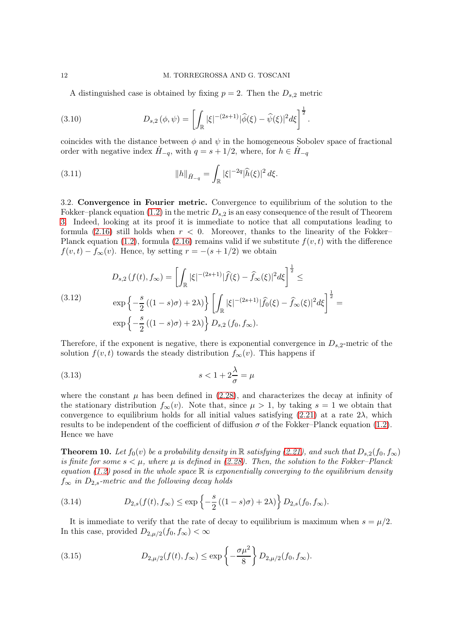A distinguished case is obtained by fixing  $p = 2$ . Then the  $D_{s,2}$  metric

(3.10) 
$$
D_{s,2}(\phi,\psi) = \left[ \int_{\mathbb{R}} |\xi|^{-(2s+1)} |\widehat{\phi}(\xi) - \widehat{\psi}(\xi)|^2 d\xi \right]^{\frac{1}{2}}.
$$

coincides with the distance between  $\phi$  and  $\psi$  in the homogeneous Sobolev space of fractional order with negative index  $H_{-q}$ , with  $q = s + 1/2$ , where, for  $h \in H_{-q}$ 

(3.11) 
$$
||h||_{\dot{H}_{-q}} = \int_{\mathbb{R}} |\xi|^{-2q} |\hat{h}(\xi)|^2 d\xi.
$$

<span id="page-11-0"></span>3.2. Convergence in Fourier metric. Convergence to equilibrium of the solution to the Fokker–planck equation [\(1.2\)](#page-0-0) in the metric  $D_{s,2}$  is an easy consequence of the result of Theorem [3.](#page-4-2) Indeed, looking at its proof it is immediate to notice that all computations leading to formula  $(2.16)$  still holds when  $r < 0$ . Moreover, thanks to the linearity of the Fokker– Planck equation [\(1.2\)](#page-0-0), formula [\(2.16\)](#page-4-3) remains valid if we substitute  $f(v, t)$  with the difference  $f(v, t) - f_{\infty}(v)$ . Hence, by setting  $r = -(s + 1/2)$  we obtain

(3.12) 
$$
D_{s,2}(f(t), f_{\infty}) = \left[ \int_{\mathbb{R}} |\xi|^{-(2s+1)} |\widehat{f}(\xi) - \widehat{f}_{\infty}(\xi)|^2 d\xi \right]^{\frac{1}{2}} \leq
$$

$$
\exp \left\{ -\frac{s}{2} ((1-s)\sigma) + 2\lambda \right\} \left[ \int_{\mathbb{R}} |\xi|^{-(2s+1)} |\widehat{f}_{0}(\xi) - \widehat{f}_{\infty}(\xi)|^2 d\xi \right]^{\frac{1}{2}} =
$$

$$
\exp \left\{ -\frac{s}{2} ((1-s)\sigma) + 2\lambda \right\} D_{s,2} (f_{0}, f_{\infty}).
$$

Therefore, if the exponent is negative, there is exponential convergence in  $D_{s,2}$ -metric of the solution  $f(v, t)$  towards the steady distribution  $f_{\infty}(v)$ . This happens if

$$
(3.13)\t\t\t s < 1 + 2\frac{\lambda}{\sigma} = \mu
$$

where the constant  $\mu$  has been defined in [\(2.28\)](#page-8-3), and characterizes the decay at infinity of the stationary distribution  $f_{\infty}(v)$ . Note that, since  $\mu > 1$ , by taking  $s = 1$  we obtain that convergence to equilibrium holds for all initial values satisfying  $(2.21)$  at a rate  $2\lambda$ , which results to be independent of the coefficient of diffusion  $\sigma$  of the Fokker–Planck equation [\(1.2\)](#page-0-0). Hence we have

<span id="page-11-1"></span>**Theorem 10.** Let  $f_0(v)$  be a probability density in R satisfying [\(2.21\)](#page-6-0), and such that  $D_{s,2}(f_0, f_\infty)$ is finite for some  $s < \mu$ , where  $\mu$  is defined in [\(2.28\)](#page-8-3). Then, the solution to the Fokker–Planck equation [\(1.2\)](#page-0-0) posed in the whole space  $\mathbb R$  is exponentially converging to the equilibrium density  $f_{\infty}$  in  $D_{2,s}$ -metric and the following decay holds

(3.14) 
$$
D_{2,s}(f(t), f_{\infty}) \le \exp \left\{-\frac{s}{2}((1-s)\sigma) + 2\lambda\right\} D_{2,s}(f_0, f_{\infty}).
$$

It is immediate to verify that the rate of decay to equilibrium is maximum when  $s = \mu/2$ . In this case, provided  $D_{2,\mu/2}(f_0, f_{\infty}) < \infty$ 

(3.15) 
$$
D_{2,\mu/2}(f(t), f_{\infty}) \le \exp\left\{-\frac{\sigma\mu^2}{8}\right\} D_{2,\mu/2}(f_0, f_{\infty}).
$$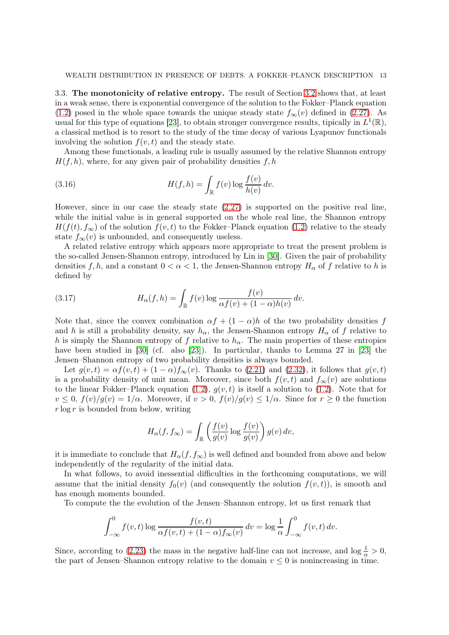<span id="page-12-0"></span>3.3. The monotonicity of relative entropy. The result of Section [3.2](#page-11-0) shows that, at least in a weak sense, there is exponential convergence of the solution to the Fokker–Planck equation [\(1.2\)](#page-0-0) posed in the whole space towards the unique steady state  $f_{\infty}(v)$  defined in [\(2.27\)](#page-8-0). As usual for this type of equations [\[23\]](#page-22-13), to obtain stronger convergence results, tipically in  $L^1(\mathbb{R})$ , a classical method is to resort to the study of the time decay of various Lyapunov functionals involving the solution  $f(v, t)$  and the steady state.

Among these functionals, a leading rule is usually assumed by the relative Shannon entropy  $H(f, h)$ , where, for any given pair of probability densities f, h

(3.16) 
$$
H(f, h) = \int_{\mathbb{R}} f(v) \log \frac{f(v)}{h(v)} dv.
$$

However, since in our case the steady state [\(2.27\)](#page-8-0) is supported on the positive real line, while the initial value is in general supported on the whole real line, the Shannon entropy  $H(f(t), f_{\infty})$  of the solution  $f(v, t)$  to the Fokker–Planck equation [\(1.2\)](#page-0-0) relative to the steady state  $f_{\infty}(v)$  is unbounded, and consequently useless.

A related relative entropy which appears more appropriate to treat the present problem is the so-called Jensen-Shannon entropy, introduced by Lin in [\[30\]](#page-22-24). Given the pair of probability densities f, h, and a constant  $0 < \alpha < 1$ , the Jensen-Shannon entropy  $H_{\alpha}$  of f relative to h is defined by

<span id="page-12-1"></span>(3.17) 
$$
H_{\alpha}(f,h) = \int_{\mathbb{R}} f(v) \log \frac{f(v)}{\alpha f(v) + (1-\alpha)h(v)} dv.
$$

Note that, since the convex combination  $\alpha f + (1 - \alpha)h$  of the two probability densities f and h is still a probability density, say  $h_{\alpha}$ , the Jensen-Shannon entropy  $H_{\alpha}$  of f relative to h is simply the Shannon entropy of f relative to  $h_{\alpha}$ . The main properties of these entropies have been studied in [\[30\]](#page-22-24) (cf. also [\[23\]](#page-22-13)). In particular, thanks to Lemma 27 in [23] the Jensen–Shannon entropy of two probability densities is always bounded.

Let  $g(v,t) = \alpha f(v,t) + (1-\alpha)f_\infty(v)$ . Thanks to [\(2.21\)](#page-6-0) and [\(2.32\)](#page-8-2), it follows that  $g(v,t)$ is a probability density of unit mean. Moreover, since both  $f(v, t)$  and  $f_{\infty}(v)$  are solutions to the linear Fokker–Planck equation [\(1.2\)](#page-0-0),  $g(v, t)$  is itself a solution to (1.2). Note that for  $v \leq 0$ ,  $f(v)/g(v) = 1/\alpha$ . Moreover, if  $v > 0$ ,  $f(v)/g(v) \leq 1/\alpha$ . Since for  $r \geq 0$  the function  $r \log r$  is bounded from below, writing

$$
H_{\alpha}(f, f_{\infty}) = \int_{\mathbb{R}} \left( \frac{f(v)}{g(v)} \log \frac{f(v)}{g(v)} \right) g(v) dv,
$$

it is immediate to conclude that  $H_{\alpha}(f, f_{\infty})$  is well defined and bounded from above and below independently of the regularity of the initial data.

In what follows, to avoid inessential difficulties in the forthcoming computations, we will assume that the initial density  $f_0(v)$  (and consequently the solution  $f(v, t)$ ), is smooth and has enough moments bounded.

To compute the the evolution of the Jensen–Shannon entropy, let us first remark that

$$
\int_{-\infty}^{0} f(v, t) \log \frac{f(v, t)}{\alpha f(v, t) + (1 - \alpha) f_{\infty}(v)} dv = \log \frac{1}{\alpha} \int_{-\infty}^{0} f(v, t) dv.
$$

Since, according to [\(2.23\)](#page-6-1) the mass in the negative half-line can not increase, and  $\log \frac{1}{\alpha} > 0$ , the part of Jensen–Shannon entropy relative to the domain  $v \leq 0$  is nonincreasing in time.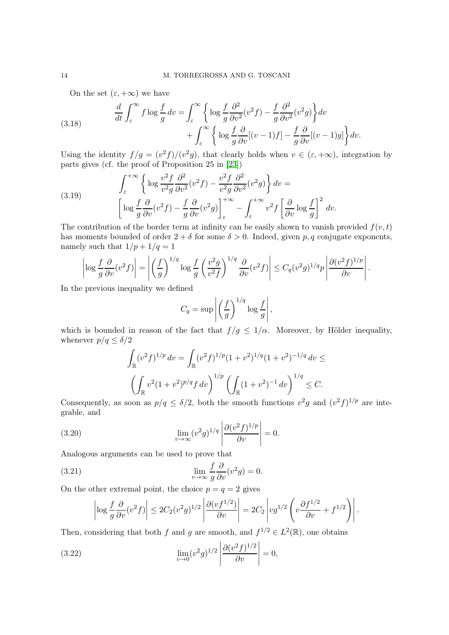<span id="page-13-0"></span>On the set  $(\varepsilon, +\infty)$  we have

(3.18) 
$$
\frac{d}{dt} \int_{\varepsilon}^{\infty} f \log \frac{f}{g} dv = \int_{\varepsilon}^{\infty} \left\{ \log \frac{f}{g} \frac{\partial^2}{\partial v^2} (v^2 f) - \frac{f}{g} \frac{\partial^2}{\partial v^2} (v^2 g) \right\} dv + \int_{\varepsilon}^{\infty} \left\{ \log \frac{f}{g} \frac{\partial}{\partial v} [(v-1)f] - \frac{f}{g} \frac{\partial}{\partial v} [(v-1)g] \right\} dv.
$$

Using the identity  $f/g = (v^2 f)/(v^2 g)$ , that clearly holds when  $v \in (\varepsilon, +\infty)$ , integration by parts gives (cf. the proof of Proposition 25 in [\[23\]](#page-22-13))

(3.19) 
$$
\int_{\varepsilon}^{+\infty} \left\{ \log \frac{v^2 f}{v^2 g} \frac{\partial^2}{\partial v^2} (v^2 f) - \frac{v^2 f}{v^2 g} \frac{\partial^2}{\partial v^2} (v^2 g) \right\} dv = \left[ \log \frac{f}{g} \frac{\partial}{\partial v} (v^2 f) - \frac{f}{g} \frac{\partial}{\partial v} (v^2 g) \right]_{\varepsilon}^{+\infty} - \int_{\varepsilon}^{+\infty} v^2 f \left[ \frac{\partial}{\partial v} \log \frac{f}{g} \right]^2 dv.
$$

The contribution of the border term at infinity can be easily shown to vanish provided  $f(v, t)$ has moments bounded of order  $2 + \delta$  for some  $\delta > 0$ . Indeed, given p, q conjugate exponents, namely such that  $1/p + 1/q = 1$ 

$$
\left|\log\frac{f}{g}\frac{\partial}{\partial v}(v^2f)\right| = \left|\left(\frac{f}{g}\right)^{1/q}\log\frac{f}{g}\left(\frac{v^2g}{v^2f}\right)^{1/q}\frac{\partial}{\partial v}(v^2f)\right| \leq C_q(v^2g)^{1/q}p\left|\frac{\partial(v^2f)^{1/p}}{\partial v}\right|.
$$

In the previous inequality we defined

$$
C_q = \sup \left| \left( \frac{f}{g} \right)^{1/q} \log \frac{f}{g} \right|,
$$

which is bounded in reason of the fact that  $f/g \leq 1/\alpha$ . Moreover, by Hölder inequality, whenever  $p/q \leq \delta/2$ 

$$
\int_{\mathbb{R}} (v^2 f)^{1/p} dv = \int_{\mathbb{R}} (v^2 f)^{1/p} (1 + v^2)^{1/q} (1 + v^2)^{-1/q} dv \le
$$

$$
\left( \int_{\mathbb{R}} v^2 (1 + v^2)^{p/q} f dv \right)^{1/p} \left( \int_{\mathbb{R}} (1 + v^2)^{-1} dv \right)^{1/q} \le C.
$$

Consequently, as soon as  $p/q \leq \delta/2$ , both the smooth functions  $v^2g$  and  $(v^2f)^{1/p}$  are integrable, and

(3.20) 
$$
\lim_{v \to \infty} (v^2 g)^{1/q} \left| \frac{\partial (v^2 f)^{1/p}}{\partial v} \right| = 0.
$$

Analogous arguments can be used to prove that

(3.21) 
$$
\lim_{v \to \infty} \frac{f}{g} \frac{\partial}{\partial v} (v^2 g) = 0.
$$

On the other extremal point, the choice  $p = q = 2$  gives

$$
\left|\log\frac{f}{g}\frac{\partial}{\partial v}(v^2f)\right|\leq 2C_2(v^2g)^{1/2}\left|\frac{\partial(vf^{1/2})}{\partial v}\right|=2C_2\left|vg^{1/2}\left(v\frac{\partial f^{1/2}}{\partial v}+f^{1/2}\right)\right|.
$$

Then, considering that both f and g are smooth, and  $f^{1/2} \in L^2(\mathbb{R})$ , one obtains

(3.22) 
$$
\lim_{v \to 0} (v^2 g)^{1/2} \left| \frac{\partial (v^2 f)^{1/2}}{\partial v} \right| = 0,
$$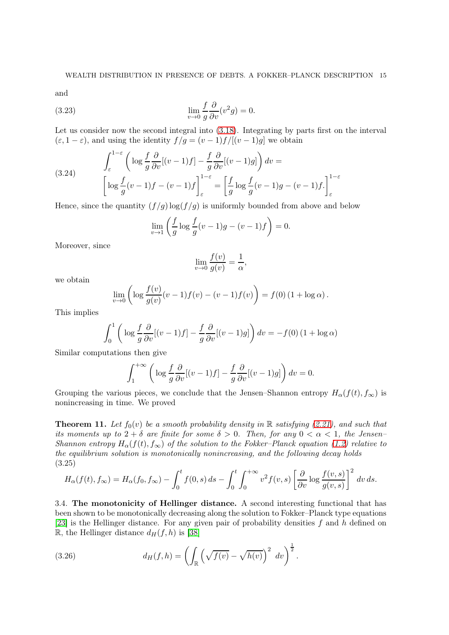and

(3.23) 
$$
\lim_{v \to 0} \frac{f}{g} \frac{\partial}{\partial v} (v^2 g) = 0.
$$

Let us consider now the second integral into [\(3.18\)](#page-13-0). Integrating by parts first on the interval  $(\varepsilon, 1 - \varepsilon)$ , and using the identity  $f/g = (v - 1)f/[(v - 1)g]$  we obtain

(3.24) 
$$
\int_{\varepsilon}^{1-\varepsilon} \left( \log \frac{f}{g} \frac{\partial}{\partial v} [(v-1)f] - \frac{f}{g} \frac{\partial}{\partial v} [(v-1)g] \right) dv = \left[ \log \frac{f}{g} (v-1)f - (v-1)f \right]_{\varepsilon}^{1-\varepsilon} = \left[ \frac{f}{g} \log \frac{f}{g} (v-1)g - (v-1)f \right]_{\varepsilon}^{1-\varepsilon}
$$

Hence, since the quantity  $(f/g) \log(f/g)$  is uniformly bounded from above and below

$$
\lim_{v \to 1} \left( \frac{f}{g} \log \frac{f}{g} (v - 1)g - (v - 1)f \right) = 0.
$$

Moreover, since

$$
\lim_{v \to 0} \frac{f(v)}{g(v)} = \frac{1}{\alpha},
$$

we obtain

$$
\lim_{v \to 0} \left( \log \frac{f(v)}{g(v)} (v-1) f(v) - (v-1) f(v) \right) = f(0) (1 + \log \alpha).
$$

This implies

$$
\int_0^1 \left( \log \frac{f}{g} \frac{\partial}{\partial v} [(v-1)f] - \frac{f}{g} \frac{\partial}{\partial v} [(v-1)g] \right) dv = -f(0) (1 + \log \alpha)
$$

Similar computations then give

$$
\int_{1}^{+\infty} \left( \log \frac{f}{g} \frac{\partial}{\partial v} [(v-1)f] - \frac{f}{g} \frac{\partial}{\partial v} [(v-1)g] \right) dv = 0.
$$

Grouping the various pieces, we conclude that the Jensen–Shannon entropy  $H_{\alpha}(f(t), f_{\infty})$  is nonincreasing in time. We proved

<span id="page-14-1"></span>**Theorem 11.** Let  $f_0(v)$  be a smooth probability density in R satisfying [\(2.21\)](#page-6-0), and such that its moments up to  $2 + \delta$  are finite for some  $\delta > 0$ . Then, for any  $0 < \alpha < 1$ , the Jensen-Shannon entropy  $H_{\alpha}(f(t), f_{\infty})$  of the solution to the Fokker–Planck equation [\(1.2\)](#page-0-0) relative to the equilibrium solution is monotonically nonincreasing, and the following decay holds (3.25)

<span id="page-14-0"></span>
$$
H_{\alpha}(f(t), f_{\infty}) = H_{\alpha}(f_0, f_{\infty}) - \int_0^t f(0, s) ds - \int_0^t \int_0^{+\infty} v^2 f(v, s) \left[ \frac{\partial}{\partial v} \log \frac{f(v, s)}{g(v, s)} \right]^2 dv ds.
$$

3.4. The monotonicity of Hellinger distance. A second interesting functional that has been shown to be monotonically decreasing along the solution to Fokker–Planck type equations [\[23\]](#page-22-13) is the Hellinger distance. For any given pair of probability densities  $f$  and  $h$  defined on R, the Hellinger distance  $d_H(f, h)$  is [\[38\]](#page-23-1)

(3.26) 
$$
d_H(f, h) = \left( \int_{\mathbb{R}} \left( \sqrt{f(v)} - \sqrt{h(v)} \right)^2 dv \right)^{\frac{1}{2}}.
$$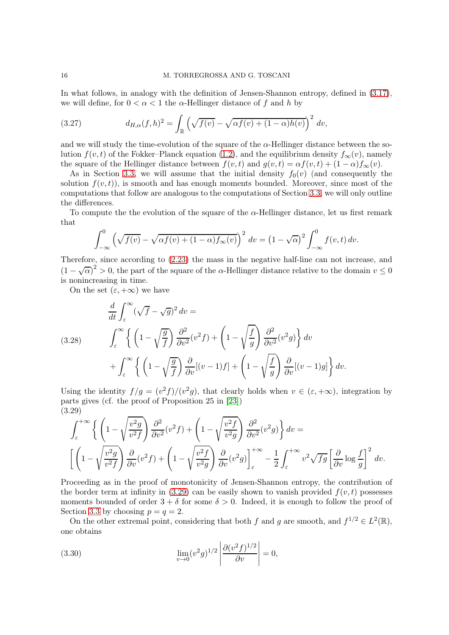In what follows, in analogy with the definition of Jensen-Shannon entropy, defined in [\(3.17\)](#page-12-1), we will define, for  $0 < \alpha < 1$  the  $\alpha$ -Hellinger distance of f and h by

<span id="page-15-2"></span>(3.27) 
$$
d_{H,\alpha}(f,h)^2 = \int_{\mathbb{R}} \left( \sqrt{f(v)} - \sqrt{\alpha f(v) + (1-\alpha)h(v)} \right)^2 dv,
$$

and we will study the time-evolution of the square of the  $\alpha$ -Hellinger distance between the solution  $f(v, t)$  of the Fokker–Planck equation [\(1.2\)](#page-0-0), and the equilibrium density  $f_{\infty}(v)$ , namely the square of the Hellinger distance between  $f(v, t)$  and  $g(v, t) = \alpha f(v, t) + (1 - \alpha)f_{\infty}(v)$ .

As in Section [3.3,](#page-12-0) we will assume that the initial density  $f_0(v)$  (and consequently the solution  $f(v, t)$ , is smooth and has enough moments bounded. Moreover, since most of the computations that follow are analogous to the computations of Section [3.3,](#page-12-0) we will only outline the differences.

To compute the the evolution of the square of the  $\alpha$ -Hellinger distance, let us first remark that

$$
\int_{-\infty}^{0} \left(\sqrt{f(v)} - \sqrt{\alpha f(v) + (1 - \alpha)f_{\infty}(v)}\right)^2 dv = \left(1 - \sqrt{\alpha}\right)^2 \int_{-\infty}^{0} f(v, t) dv.
$$

Therefore, since according to [\(2.23\)](#page-6-1) the mass in the negative half-line can not increase, and  $(1 - \sqrt{\alpha})^2 > 0$ , the part of the square of the  $\alpha$ -Hellinger distance relative to the domain  $v \le 0$ is nonincreasing in time.

On the set  $(\varepsilon, +\infty)$  we have

<span id="page-15-1"></span>(3.28) 
$$
\frac{d}{dt} \int_{\varepsilon}^{\infty} (\sqrt{f} - \sqrt{g})^2 dv =
$$

$$
= \int_{\varepsilon}^{\infty} \left\{ \left( 1 - \sqrt{\frac{g}{f}} \right) \frac{\partial^2}{\partial v^2} (v^2 f) + \left( 1 - \sqrt{\frac{f}{g}} \right) \frac{\partial^2}{\partial v^2} (v^2 g) \right\} dv + \int_{\varepsilon}^{\infty} \left\{ \left( 1 - \sqrt{\frac{g}{f}} \right) \frac{\partial}{\partial v} [(v - 1)f] + \left( 1 - \sqrt{\frac{f}{g}} \right) \frac{\partial}{\partial v} [(v - 1)g] \right\} dv.
$$

Using the identity  $f/g = (v^2 f)/(v^2 g)$ , that clearly holds when  $v \in (\varepsilon, +\infty)$ , integration by parts gives (cf. the proof of Proposition 25 in [\[23\]](#page-22-13)) (3.29)

<span id="page-15-0"></span>
$$
\int_{\varepsilon}^{+\infty} \left\{ \left( 1 - \sqrt{\frac{v^2 g}{v^2 f}} \right) \frac{\partial^2}{\partial v^2} (v^2 f) + \left( 1 - \sqrt{\frac{v^2 f}{v^2 g}} \right) \frac{\partial^2}{\partial v^2} (v^2 g) \right\} dv =
$$
\n
$$
\left[ \left( 1 - \sqrt{\frac{v^2 g}{v^2 f}} \right) \frac{\partial}{\partial v} (v^2 f) + \left( 1 - \sqrt{\frac{v^2 f}{v^2 g}} \right) \frac{\partial}{\partial v} (v^2 g) \right]_{\varepsilon}^{+\infty} - \frac{1}{2} \int_{\varepsilon}^{+\infty} v^2 \sqrt{f g} \left[ \frac{\partial}{\partial v} \log \frac{f}{g} \right]^2 dv.
$$

Proceeding as in the proof of monotonicity of Jensen-Shannon entropy, the contribution of the border term at infinity in  $(3.29)$  can be easily shown to vanish provided  $f(v, t)$  possesses moments bounded of order  $3 + \delta$  for some  $\delta > 0$ . Indeed, it is enough to follow the proof of Section [3.3](#page-12-0) by choosing  $p = q = 2$ .

On the other extremal point, considering that both f and g are smooth, and  $f^{1/2} \in L^2(\mathbb{R})$ , one obtains

(3.30) 
$$
\lim_{v \to 0} (v^2 g)^{1/2} \left| \frac{\partial (v^2 f)^{1/2}}{\partial v} \right| = 0,
$$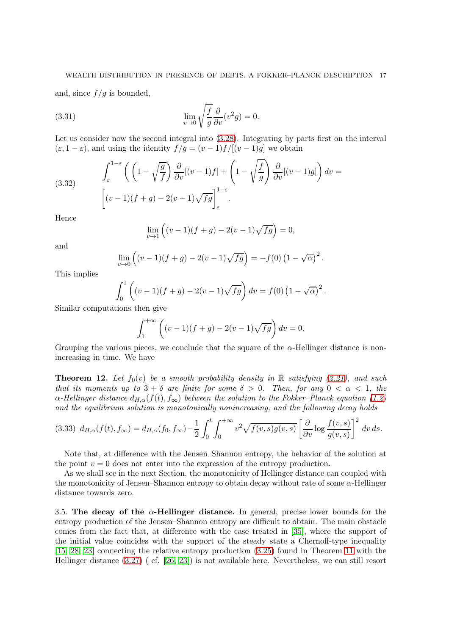and, since  $f/g$  is bounded,

(3.31) 
$$
\lim_{v \to 0} \sqrt{\frac{f}{g}} \frac{\partial}{\partial v} (v^2 g) = 0.
$$

Let us consider now the second integral into  $(3.28)$ . Integrating by parts first on the interval  $(\varepsilon, 1-\varepsilon)$ , and using the identity  $f/g = (v-1)f/[(v-1)g]$  we obtain

(3.32) 
$$
\int_{\varepsilon}^{1-\varepsilon} \left( \left( 1 - \sqrt{\frac{g}{f}} \right) \frac{\partial}{\partial v} [(v-1)f] + \left( 1 - \sqrt{\frac{f}{g}} \right) \frac{\partial}{\partial v} [(v-1)g] \right) dv =
$$

$$
\left[ (v-1)(f+g) - 2(v-1)\sqrt{fg} \right]_{\varepsilon}^{1-\varepsilon}.
$$

Hence

$$
\lim_{v \to 1} ((v-1)(f+g) - 2(v-1)\sqrt{fg}) = 0,
$$

and

$$
\lim_{v \to 0} ((v-1)(f+g) - 2(v-1)\sqrt{fg}) = -f(0) (1 - \sqrt{\alpha})^{2}.
$$

This implies

$$
\int_0^1 \left( (v-1)(f+g) - 2(v-1)\sqrt{fg} \right) dv = f(0) (1 - \sqrt{\alpha})^2.
$$

Similar computations then give

$$
\int_{1}^{+\infty} \left( (v-1)(f+g) - 2(v-1)\sqrt{fg} \right) dv = 0.
$$

Grouping the various pieces, we conclude that the square of the  $\alpha$ -Hellinger distance is nonincreasing in time. We have

<span id="page-16-0"></span>**Theorem 12.** Let  $f_0(v)$  be a smooth probability density in R satisfying [\(2.21\)](#page-6-0), and such that its moments up to  $3 + \delta$  are finite for some  $\delta > 0$ . Then, for any  $0 < \alpha < 1$ , the  $\alpha$ -Hellinger distance  $d_{H,\alpha}(f(t), f_{\infty})$  between the solution to the Fokker–Planck equation [\(1.2\)](#page-0-0) and the equilibrium solution is monotonically nonincreasing, and the following decay holds

$$
(3.33) d_{H,\alpha}(f(t),f_{\infty}) = d_{H,\alpha}(f_0,f_{\infty}) - \frac{1}{2} \int_0^t \int_0^{+\infty} v^2 \sqrt{f(v,s)g(v,s)} \left[ \frac{\partial}{\partial v} \log \frac{f(v,s)}{g(v,s)} \right]^2 dv ds.
$$

Note that, at difference with the Jensen–Shannon entropy, the behavior of the solution at the point  $v = 0$  does not enter into the expression of the entropy production.

As we shall see in the next Section, the monotonicity of Hellinger distance can coupled with the monotonicity of Jensen–Shannon entropy to obtain decay without rate of some  $\alpha$ -Hellinger distance towards zero.

3.5. The decay of the  $\alpha$ -Hellinger distance. In general, precise lower bounds for the entropy production of the Jensen–Shannon entropy are difficult to obtain. The main obstacle comes from the fact that, at difference with the case treated in [\[35\]](#page-22-7), where the support of the initial value coincides with the support of the steady state a Chernoff-type inequality [\[15,](#page-22-15) [28,](#page-22-16) [23\]](#page-22-13) connecting the relative entropy production [\(3.25\)](#page-14-0) found in Theorem [11](#page-14-1) with the Hellinger distance [\(3.27\)](#page-15-2) ( cf. [\[26,](#page-22-25) [23\]](#page-22-13)) is not available here. Nevertheless, we can still resort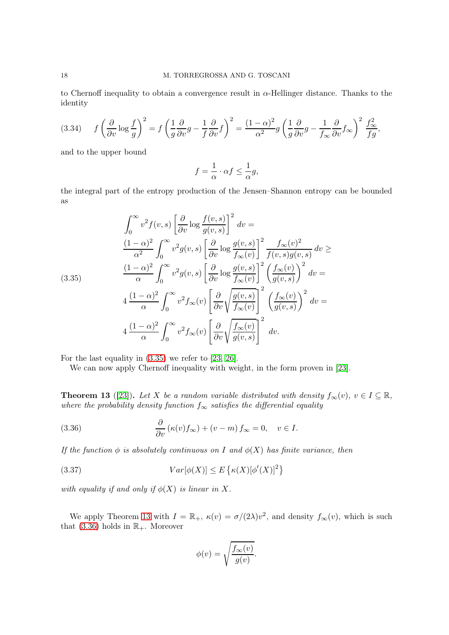to Chernoff inequality to obtain a convergence result in  $\alpha$ -Hellinger distance. Thanks to the identity

$$
(3.34) \qquad f\left(\frac{\partial}{\partial v}\log\frac{f}{g}\right)^2 = f\left(\frac{1}{g}\frac{\partial}{\partial v}g - \frac{1}{f}\frac{\partial}{\partial v}f\right)^2 = \frac{(1-\alpha)^2}{\alpha^2}g\left(\frac{1}{g}\frac{\partial}{\partial v}g - \frac{1}{f_{\infty}}\frac{\partial}{\partial v}f_{\infty}\right)^2\frac{f_{\infty}^2}{fg},
$$

and to the upper bound

$$
f = \frac{1}{\alpha} \cdot \alpha f \le \frac{1}{\alpha} g,
$$

the integral part of the entropy production of the Jensen–Shannon entropy can be bounded as

<span id="page-17-0"></span>
$$
\int_0^\infty v^2 f(v,s) \left[ \frac{\partial}{\partial v} \log \frac{f(v,s)}{g(v,s)} \right]^2 dv =
$$
\n
$$
\frac{(1-\alpha)^2}{\alpha^2} \int_0^\infty v^2 g(v,s) \left[ \frac{\partial}{\partial v} \log \frac{g(v,s)}{f_\infty(v)} \right]^2 \frac{f_\infty(v)^2}{f(v,s)g(v,s)} dv \ge
$$
\n
$$
\frac{(1-\alpha)^2}{\alpha} \int_0^\infty v^2 g(v,s) \left[ \frac{\partial}{\partial v} \log \frac{g(v,s)}{f_\infty(v)} \right]^2 \left( \frac{f_\infty(v)}{g(v,s)} \right)^2 dv =
$$
\n
$$
4 \frac{(1-\alpha)^2}{\alpha} \int_0^\infty v^2 f_\infty(v) \left[ \frac{\partial}{\partial v} \sqrt{\frac{g(v,s)}{f_\infty(v)}} \right]^2 \left( \frac{f_\infty(v)}{g(v,s)} \right)^2 dv =
$$
\n
$$
4 \frac{(1-\alpha)^2}{\alpha} \int_0^\infty v^2 f_\infty(v) \left[ \frac{\partial}{\partial v} \sqrt{\frac{f_\infty(v)}{g(v,s)}} \right]^2 dv.
$$

For the last equality in [\(3.35\)](#page-17-0) we refer to [\[23,](#page-22-13) [26\]](#page-22-25).

We can now apply Chernoff inequality with weight, in the form proven in [\[23\]](#page-22-13).

<span id="page-17-1"></span>**Theorem 13** ([\[23\]](#page-22-13)). Let X be a random variable distributed with density  $f_{\infty}(v)$ ,  $v \in I \subseteq \mathbb{R}$ , where the probability density function  $f_{\infty}$  satisfies the differential equality

<span id="page-17-2"></span>(3.36) 
$$
\frac{\partial}{\partial v} (\kappa(v) f_{\infty}) + (v - m) f_{\infty} = 0, \quad v \in I.
$$

If the function  $\phi$  is absolutely continuous on I and  $\phi(X)$  has finite variance, then

(3.37) 
$$
Var[\phi(X)] \leq E\left\{\kappa(X)[\phi'(X)]^2\right\}
$$

with equality if and only if  $\phi(X)$  is linear in X.

We apply Theorem [13](#page-17-1) with  $I = \mathbb{R}_+$ ,  $\kappa(v) = \sigma/(2\lambda)v^2$ , and density  $f_{\infty}(v)$ , which is such that [\(3.36\)](#page-17-2) holds in  $\mathbb{R}_+$ . Moreover

<span id="page-17-3"></span>
$$
\phi(v) = \sqrt{\frac{f_{\infty}(v)}{g(v)}}.
$$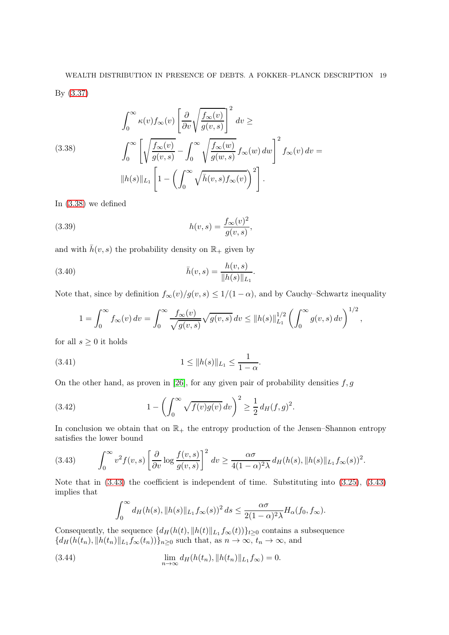<span id="page-18-0"></span>(3.38)  

$$
\int_0^\infty \kappa(v) f_\infty(v) \left[ \frac{\partial}{\partial v} \sqrt{\frac{f_\infty(v)}{g(v,s)}} \right]^2 dv \ge
$$

$$
\int_0^\infty \left[ \sqrt{\frac{f_\infty(v)}{g(v,s)}} - \int_0^\infty \sqrt{\frac{f_\infty(w)}{g(w,s)}} f_\infty(w) dw \right]^2 f_\infty(v) dv =
$$

$$
||h(s)||_{L_1} \left[ 1 - \left( \int_0^\infty \sqrt{\bar{h}(v,s)} f_\infty(v) \right)^2 \right].
$$

In [\(3.38\)](#page-18-0) we defined

(3.39) 
$$
h(v,s) = \frac{f_{\infty}(v)^2}{g(v,s)},
$$

and with  $\bar{h}(v, s)$  the probability density on  $\mathbb{R}_+$  given by

(3.40) 
$$
\bar{h}(v,s) = \frac{h(v,s)}{\|h(s)\|_{L_1}}.
$$

Note that, since by definition  $f_{\infty}(v)/g(v, s) \leq 1/(1 - \alpha)$ , and by Cauchy–Schwartz inequality

<span id="page-18-2"></span>
$$
1 = \int_0^\infty f_\infty(v) dv = \int_0^\infty \frac{f_\infty(v)}{\sqrt{g(v,s)}} \sqrt{g(v,s)} dv \le ||h(s)||_{L_1}^{1/2} \left(\int_0^\infty g(v,s) dv\right)^{1/2},
$$

for all  $s \geq 0$  it holds

(3.41) 
$$
1 \leq \|h(s)\|_{L_1} \leq \frac{1}{1-\alpha}.
$$

On the other hand, as proven in [\[26\]](#page-22-25), for any given pair of probability densities  $f, g$ 

(3.42) 
$$
1 - \left( \int_0^\infty \sqrt{f(v)g(v)} dv \right)^2 \ge \frac{1}{2} d_H(f, g)^2.
$$

In conclusion we obtain that on  $\mathbb{R}_+$  the entropy production of the Jensen–Shannon entropy satisfies the lower bound

<span id="page-18-1"></span>
$$
(3.43) \qquad \int_0^\infty v^2 f(v,s) \left[ \frac{\partial}{\partial v} \log \frac{f(v,s)}{g(v,s)} \right]^2 dv \geq \frac{\alpha \sigma}{4(1-\alpha)^2 \lambda} d_H(h(s), \|h(s)\|_{L_1} f_\infty(s))^2.
$$

Note that in [\(3.43\)](#page-18-1) the coefficient is independent of time. Substituting into [\(3.25\)](#page-14-0), [\(3.43\)](#page-18-1) implies that Z <sup>∞</sup>

<span id="page-18-3"></span>
$$
\int_0^\infty d_H(h(s), \|h(s)\|_{L_1} f_\infty(s))^2 ds \leq \frac{\alpha \sigma}{2(1-\alpha)^2 \lambda} H_\alpha(f_0, f_\infty).
$$

Consequently, the sequence  $\{d_H(h(t), \|h(t)\|_{L_1} f_\infty(t))\}_{t\geq 0}$  contains a subsequence  ${d_H(h(t_n), \|h(t_n)\|_{L_1} f_\infty(t_n))\}_{n\geq 0}$  such that, as  $n \to \infty$ ,  $t_n \to \infty$ , and

(3.44) 
$$
\lim_{n \to \infty} d_H(h(t_n), \|h(t_n)\|_{L_1} f_{\infty}) = 0.
$$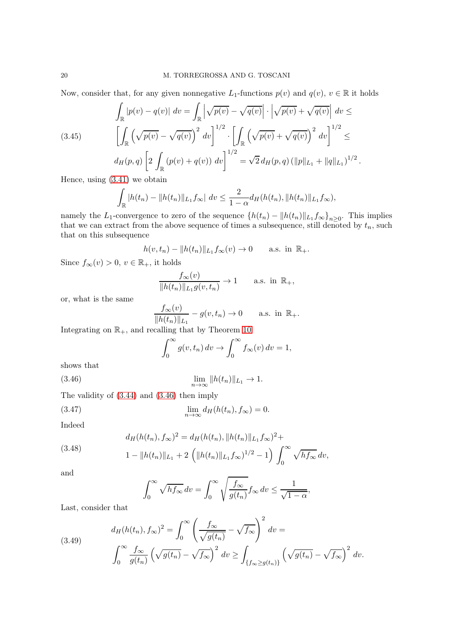Now, consider that, for any given nonnegative  $L_1$ -functions  $p(v)$  and  $q(v)$ ,  $v \in \mathbb{R}$  it holds

$$
\int_{\mathbb{R}} |p(v) - q(v)| dv = \int_{\mathbb{R}} \left| \sqrt{p(v)} - \sqrt{q(v)} \right| \cdot \left| \sqrt{p(v)} + \sqrt{q(v)} \right| dv \le
$$
\n
$$
\left[ \int_{\mathbb{R}} \left( \sqrt{p(v)} - \sqrt{q(v)} \right)^2 dv \right]^{1/2} \cdot \left[ \int_{\mathbb{R}} \left( \sqrt{p(v)} + \sqrt{q(v)} \right)^2 dv \right]^{1/2} \le
$$
\n
$$
d_H(p, q) \left[ 2 \int_{\mathbb{R}} (p(v) + q(v)) dv \right]^{1/2} = \sqrt{2} d_H(p, q) \left( \|p\|_{L_1} + \|q\|_{L_1} \right)^{1/2}.
$$

Hence, using [\(3.41\)](#page-18-2) we obtain

<span id="page-19-1"></span>
$$
\int_{\mathbb{R}} |h(t_n) - ||h(t_n)||_{L_1} f_{\infty}| \, dv \le \frac{2}{1 - \alpha} d_H(h(t_n), ||h(t_n)||_{L_1} f_{\infty}),
$$

namely the L<sub>1</sub>-convergence to zero of the sequence  $\{h(t_n) - ||h(t_n)||_{L_1}f_{\infty}\}_{n \geq 0}$ . This implies that we can extract from the above sequence of times a subsequence, still denoted by  $t_n$ , such that on this subsequence

$$
h(v, t_n) - ||h(t_n)||_{L_1} f_{\infty}(v) \to 0
$$
 a.s. in  $\mathbb{R}_+$ .

Since  $f_{\infty}(v) > 0, v \in \mathbb{R}_{+}$ , it holds

$$
\frac{f_{\infty}(v)}{\|h(t_n)\|_{L_1} g(v,t_n)} \to 1 \quad \text{a.s. in } \mathbb{R}_+,
$$

or, what is the same

$$
\frac{f_{\infty}(v)}{\|h(t_n)\|_{L_1}} - g(v, t_n) \to 0 \quad \text{a.s. in } \mathbb{R}_+.
$$

Integrating on  $\mathbb{R}_+$ , and recalling that by Theorem [10](#page-11-1)

<span id="page-19-0"></span>
$$
\int_0^\infty g(v, t_n) dv \to \int_0^\infty f_\infty(v) dv = 1,
$$

shows that

(3.46) 
$$
\lim_{n \to \infty} ||h(t_n)||_{L_1} \to 1.
$$

The validity of [\(3.44\)](#page-18-3) and [\(3.46\)](#page-19-0) then imply

$$
\lim_{n \to \infty} d_H(h(t_n), f_\infty) = 0.
$$

Indeed

(3.48) 
$$
d_H(h(t_n), f_{\infty})^2 = d_H(h(t_n), ||h(t_n)||_{L_1} f_{\infty})^2 +
$$

$$
1 - ||h(t_n)||_{L_1} + 2 \left( ||h(t_n)||_{L_1} f_{\infty} \right)^{1/2} - 1 \right) \int_0^{\infty} \sqrt{h f_{\infty}} \, dv,
$$

and

$$
\int_0^\infty \sqrt{h f_\infty} \, dv = \int_0^\infty \sqrt{\frac{f_\infty}{g(t_n)}} f_\infty \, dv \le \frac{1}{\sqrt{1 - \alpha}},
$$

Last, consider that

<span id="page-19-2"></span>(3.49) 
$$
d_H(h(t_n), f_\infty)^2 = \int_0^\infty \left(\frac{f_\infty}{\sqrt{g(t_n)}} - \sqrt{f_\infty}\right)^2 dv = \int_0^\infty \frac{f_\infty}{g(t_n)} \left(\sqrt{g(t_n)} - \sqrt{f_\infty}\right)^2 dv \ge \int_{\{f_\infty \ge g(t_n)\}} \left(\sqrt{g(t_n)} - \sqrt{f_\infty}\right)^2 dv.
$$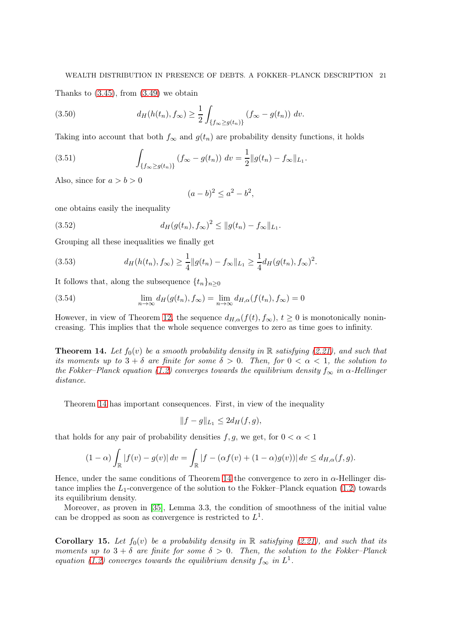Thanks to  $(3.45)$ , from  $(3.49)$  we obtain

(3.50) 
$$
d_H(h(t_n), f_{\infty}) \geq \frac{1}{2} \int_{\{f_{\infty} \geq g(t_n)\}} (f_{\infty} - g(t_n)) \ dv.
$$

Taking into account that both  $f_{\infty}$  and  $g(t_n)$  are probability density functions, it holds

(3.51) 
$$
\int_{\{f_{\infty} \ge g(t_n)\}} (f_{\infty} - g(t_n)) dv = \frac{1}{2} ||g(t_n) - f_{\infty}||_{L_1}.
$$

Also, since for  $a > b > 0$ 

$$
(a-b)^2 \le a^2 - b^2,
$$

one obtains easily the inequality

(3.52) 
$$
d_H(g(t_n), f_{\infty})^2 \leq ||g(t_n) - f_{\infty}||_{L_1}.
$$

Grouping all these inequalities we finally get

(3.53) 
$$
d_H(h(t_n), f_\infty) \geq \frac{1}{4} ||g(t_n) - f_\infty||_{L_1} \geq \frac{1}{4} d_H(g(t_n), f_\infty)^2.
$$

It follows that, along the subsequence  $\{t_n\}_{n\geq 0}$ 

(3.54) 
$$
\lim_{n \to \infty} d_H(g(t_n), f_\infty) = \lim_{n \to \infty} d_{H,\alpha}(f(t_n), f_\infty) = 0
$$

However, in view of Theorem [12,](#page-16-0) the sequence  $d_{H,\alpha}(f(t), f_{\infty}), t \ge 0$  is monotonically nonincreasing. This implies that the whole sequence converges to zero as time goes to infinity.

<span id="page-20-0"></span>**Theorem 14.** Let  $f_0(v)$  be a smooth probability density in R satisfying [\(2.21\)](#page-6-0), and such that its moments up to  $3 + \delta$  are finite for some  $\delta > 0$ . Then, for  $0 < \alpha < 1$ , the solution to the Fokker–Planck equation [\(1.2\)](#page-0-0) converges towards the equilibrium density  $f_{\infty}$  in  $\alpha$ -Hellinger distance.

Theorem [14](#page-20-0) has important consequences. First, in view of the inequality

$$
||f - g||_{L_1} \le 2d_H(f, g),
$$

that holds for any pair of probability densities f, g, we get, for  $0 < \alpha < 1$ 

$$
(1-\alpha)\int_{\mathbb{R}}|f(v)-g(v)|\,dv=\int_{\mathbb{R}}|f-(\alpha f(v)+(1-\alpha)g(v))|\,dv\leq d_{H,\alpha}(f,g).
$$

Hence, under the same conditions of Theorem [14](#page-20-0) the convergence to zero in  $\alpha$ -Hellinger distance implies the  $L_1$ -convergence of the solution to the Fokker–Planck equation [\(1.2\)](#page-0-0) towards its equilibrium density.

Moreover, as proven in [\[35\]](#page-22-7), Lemma 3.3, the condition of smoothness of the initial value can be dropped as soon as convergence is restricted to  $L^1$ .

**Corollary 15.** Let  $f_0(v)$  be a probability density in R satisfying [\(2.21\)](#page-6-0), and such that its moments up to  $3 + \delta$  are finite for some  $\delta > 0$ . Then, the solution to the Fokker-Planck equation [\(1.2\)](#page-0-0) converges towards the equilibrium density  $f_{\infty}$  in  $L^1$ .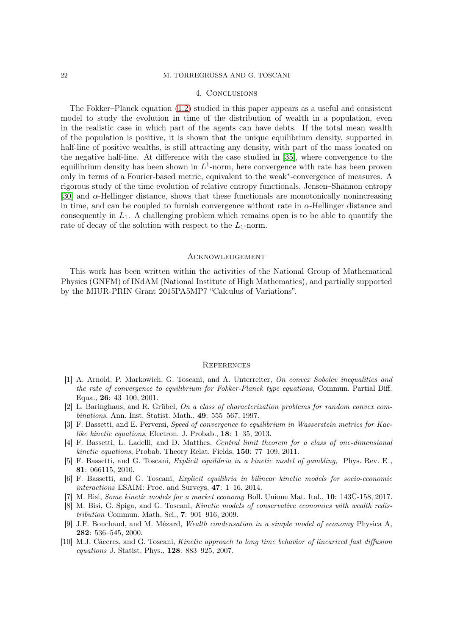### 4. Conclusions

The Fokker–Planck equation [\(1.2\)](#page-0-0) studied in this paper appears as a useful and consistent model to study the evolution in time of the distribution of wealth in a population, even in the realistic case in which part of the agents can have debts. If the total mean wealth of the population is positive, it is shown that the unique equilibrium density, supported in half-line of positive wealths, is still attracting any density, with part of the mass located on the negative half-line. At difference with the case studied in [\[35\]](#page-22-7), where convergence to the equilibrium density has been shown in  $L^1$ -norm, here convergence with rate has been proven only in terms of a Fourier-based metric, equivalent to the weak<sup>∗</sup> -convergence of measures. A rigorous study of the time evolution of relative entropy functionals, Jensen–Shannon entropy [\[30\]](#page-22-24) and  $\alpha$ -Hellinger distance, shows that these functionals are monotonically nonincreasing in time, and can be coupled to furnish convergence without rate in  $\alpha$ -Hellinger distance and consequently in  $L_1$ . A challenging problem which remains open is to be able to quantify the rate of decay of the solution with respect to the  $L_1$ -norm.

# **ACKNOWLEDGEMENT**

This work has been written within the activities of the National Group of Mathematical Physics (GNFM) of INdAM (National Institute of High Mathematics), and partially supported by the MIUR-PRIN Grant 2015PA5MP7 "Calculus of Variations".

#### **REFERENCES**

- <span id="page-21-5"></span>[1] A. Arnold, P. Markowich, G. Toscani, and A. Unterreiter, On convex Sobolev inequalities and the rate of convergence to equilibrium for Fokker-Planck type equations, Commun. Partial Diff. Equa., 26: 43–100, 2001.
- <span id="page-21-9"></span>[2] L. Baringhaus, and R. Grübel, On a class of characterization problems for random convex combinations, Ann. Inst. Statist. Math., 49: 555–567, 1997.
- <span id="page-21-6"></span>[3] F. Bassetti, and E. Perversi, Speed of convergence to equilibrium in Wasserstein metrics for Kaclike kinetic equations, Electron. J. Probab., 18: 1–35, 2013.
- <span id="page-21-7"></span>[4] F. Bassetti, L. Ladelli, and D. Matthes, Central limit theorem for a class of one-dimensional kinetic equations, Probab. Theory Relat. Fields, 150: 77–109, 2011.
- <span id="page-21-1"></span>[5] F. Bassetti, and G. Toscani, Explicit equilibria in a kinetic model of gambling, Phys. Rev. E , 81: 066115, 2010.
- <span id="page-21-2"></span>[6] F. Bassetti, and G. Toscani, Explicit equilibria in bilinear kinetic models for socio-economic interactions ESAIM: Proc. and Surveys, 47: 1–16, 2014.
- <span id="page-21-4"></span><span id="page-21-3"></span>[7] M. Bisi, Some kinetic models for a market economy Boll. Unione Mat. Ital., 10: 143Ű-158, 2017.
- [8] M. Bisi, G. Spiga, and G. Toscani, Kinetic models of conservative economies with wealth redistribution Commun. Math. Sci., 7: 901–916, 2009.
- <span id="page-21-0"></span>[9] J.F. Bouchaud, and M. Mézard, Wealth condensation in a simple model of economy Physica A, 282: 536–545, 2000.
- <span id="page-21-8"></span>[10] M.J. Cáceres, and G. Toscani, Kinetic approach to long time behavior of linearized fast diffusion equations J. Statist. Phys., 128: 883–925, 2007.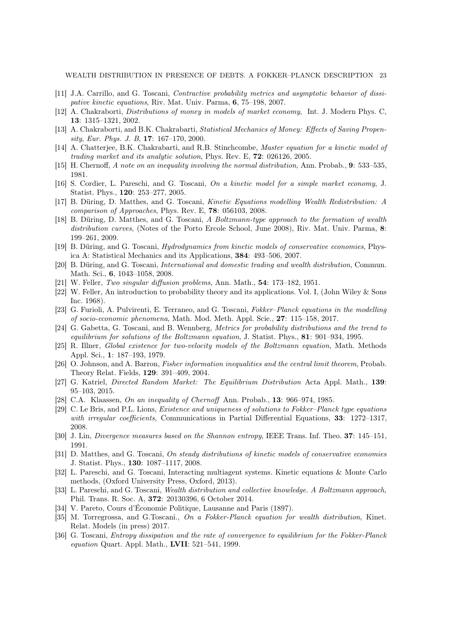WEALTH DISTRIBUTION IN PRESENCE OF DEBTS. A FOKKER–PLANCK DESCRIPTION 23

- <span id="page-22-22"></span><span id="page-22-2"></span>[11] J.A. Carrillo, and G. Toscani, Contractive probability metrics and asymptotic behavior of dissipative kinetic equations, Riv. Mat. Univ. Parma, 6, 75–198, 2007.
- <span id="page-22-3"></span>[12] A. Chakraborti, Distributions of money in models of market economy, Int. J. Modern Phys. C, 13: 1315–1321, 2002.
- <span id="page-22-4"></span>[13] A. Chakraborti, and B.K. Chakrabarti, *Statistical Mechanics of Money: Effects of Saving Propen*sity, Eur. Phys. J. B, 17: 167–170, 2000.
- <span id="page-22-15"></span>[14] A. Chatterjee, B.K. Chakrabarti, and R.B. Stinchcombe, Master equation for a kinetic model of trading market and its analytic solution, Phys. Rev. E, 72: 026126, 2005.
- <span id="page-22-9"></span>[15] H. Chernoff, A note on an inequality involving the normal distribution, Ann. Probab., 9: 533–535, 1981.
- <span id="page-22-5"></span>[16] S. Cordier, L. Pareschi, and G. Toscani, On a kinetic model for a simple market economy, J. Statist. Phys., 120: 253–277, 2005.
- <span id="page-22-6"></span>[17] B. Düring, D. Matthes, and G. Toscani, Kinetic Equations modelling Wealth Redistribution: A comparison of Approaches, Phys. Rev. E, 78: 056103, 2008.
- [18] B. Düring, D. Matthes, and G. Toscani, A Boltzmann-type approach to the formation of wealth distribution curves, (Notes of the Porto Ercole School, June 2008), Riv. Mat. Univ. Parma, 8: 199–261, 2009.
- <span id="page-22-11"></span><span id="page-22-10"></span>[19] B. Düring, and G. Toscani, Hydrodynamics from kinetic models of conservative economies, Physica A: Statistical Mechanics and its Applications, 384: 493–506, 2007.
- <span id="page-22-17"></span>[20] B. Düring, and G. Toscani, International and domestic trading and wealth distribution, Commun. Math. Sci., 6, 1043–1058, 2008.
- <span id="page-22-18"></span>[21] W. Feller, Two singular diffusion problems, Ann. Math., 54: 173–182, 1951.
- [22] W. Feller, An introduction to probability theory and its applications. Vol. I, (John Wiley & Sons Inc. 1968).
- <span id="page-22-13"></span>[23] G. Furioli, A. Pulvirenti, E. Terraneo, and G. Toscani, Fokker–Planck equations in the modelling of socio-economic phenomena, Math. Mod. Meth. Appl. Scie., 27: 115–158, 2017.
- <span id="page-22-21"></span>[24] G. Gabetta, G. Toscani, and B. Wennberg, Metrics for probability distributions and the trend to equilibrium for solutions of the Boltzmann equation, J. Statist. Phys., 81: 901–934, 1995.
- <span id="page-22-20"></span>[25] R. Illner, Global existence for two-velocity models of the Boltzmann equation, Math. Methods Appl. Sci., 1: 187–193, 1979.
- <span id="page-22-25"></span>[26] O. Johnson, and A. Barron, Fisher information inequalities and the central limit theorem, Probab. Theory Relat. Fields, 129: 391–409, 2004.
- <span id="page-22-8"></span>[27] G. Katriel, Directed Random Market: The Equilibrium Distribution Acta Appl. Math., 139: 95–103, 2015.
- <span id="page-22-19"></span><span id="page-22-16"></span>[28] C.A. Klaassen, On an inequality of Chernoff Ann. Probab., 13: 966–974, 1985.
- [29] C. Le Bris, and P.L. Lions, Existence and uniqueness of solutions to Fokker–Planck type equations with irregular coefficients, Communications in Partial Differential Equations, 33: 1272-1317, 2008.
- <span id="page-22-24"></span><span id="page-22-23"></span>[30] J. Lin, Divergence measures based on the Shannon entropy, IEEE Trans. Inf. Theo. 37: 145–151, 1991.
- [31] D. Matthes, and G. Toscani, On steady distributions of kinetic models of conservative economies J. Statist. Phys., 130: 1087–1117, 2008.
- <span id="page-22-1"></span>[32] L. Pareschi, and G. Toscani, Interacting multiagent systems. Kinetic equations & Monte Carlo methods, (Oxford University Press, Oxford, 2013).
- <span id="page-22-12"></span>[33] L. Pareschi, and G. Toscani, Wealth distribution and collective knowledge. A Boltzmann approach, Phil. Trans. R. Soc. A, 372: 20130396, 6 October 2014.
- <span id="page-22-7"></span><span id="page-22-0"></span>[34] V. Pareto, Cours d'Économie Politique, Lausanne and Paris (1897).
- [35] M. Torregrossa, and G.Toscani., On a Fokker-Planck equation for wealth distribution, Kinet. Relat. Models (in press) 2017.
- <span id="page-22-14"></span>[36] G. Toscani, *Entropy dissipation and the rate of convergence to equilibrium for the Fokker-Planck* equation Quart. Appl. Math., LVII: 521–541, 1999.